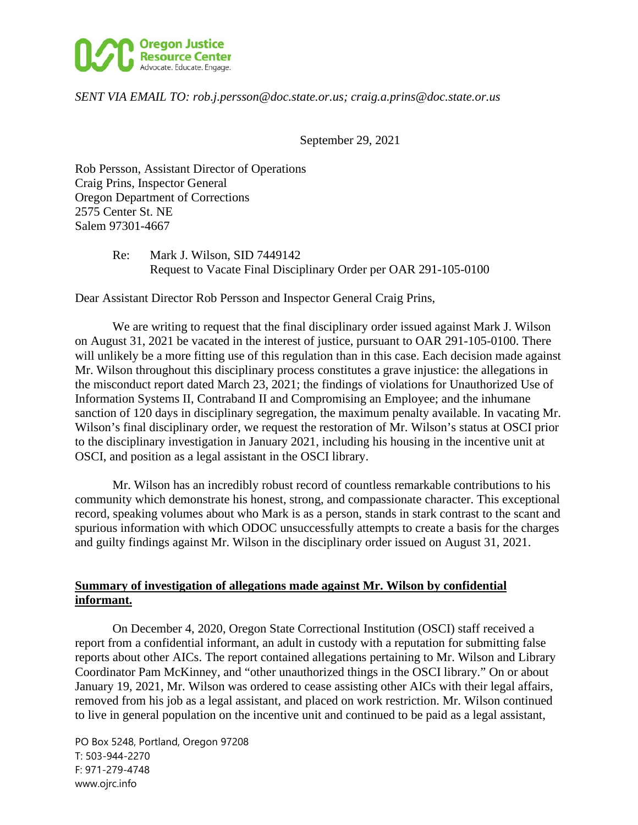

### *SENT VIA EMAIL TO: rob.j.persson@doc.state.or.us; craig.a.prins@doc.state.or.us*

September 29, 2021

Rob Persson, Assistant Director of Operations Craig Prins, Inspector General Oregon Department of Corrections 2575 Center St. NE Salem 97301-4667

> Re: Mark J. Wilson, SID 7449142 Request to Vacate Final Disciplinary Order per OAR 291-105-0100

Dear Assistant Director Rob Persson and Inspector General Craig Prins,

We are writing to request that the final disciplinary order issued against Mark J. Wilson on August 31, 2021 be vacated in the interest of justice, pursuant to OAR 291-105-0100. There will unlikely be a more fitting use of this regulation than in this case. Each decision made against Mr. Wilson throughout this disciplinary process constitutes a grave injustice: the allegations in the misconduct report dated March 23, 2021; the findings of violations for Unauthorized Use of Information Systems II, Contraband II and Compromising an Employee; and the inhumane sanction of 120 days in disciplinary segregation, the maximum penalty available. In vacating Mr. Wilson's final disciplinary order, we request the restoration of Mr. Wilson's status at OSCI prior to the disciplinary investigation in January 2021, including his housing in the incentive unit at OSCI, and position as a legal assistant in the OSCI library.

Mr. Wilson has an incredibly robust record of countless remarkable contributions to his community which demonstrate his honest, strong, and compassionate character. This exceptional record, speaking volumes about who Mark is as a person, stands in stark contrast to the scant and spurious information with which ODOC unsuccessfully attempts to create a basis for the charges and guilty findings against Mr. Wilson in the disciplinary order issued on August 31, 2021.

## **Summary of investigation of allegations made against Mr. Wilson by confidential informant.**

On December 4, 2020, Oregon State Correctional Institution (OSCI) staff received a report from a confidential informant, an adult in custody with a reputation for submitting false reports about other AICs. The report contained allegations pertaining to Mr. Wilson and Library Coordinator Pam McKinney, and "other unauthorized things in the OSCI library." On or about January 19, 2021, Mr. Wilson was ordered to cease assisting other AICs with their legal affairs, removed from his job as a legal assistant, and placed on work restriction. Mr. Wilson continued to live in general population on the incentive unit and continued to be paid as a legal assistant,

PO Box 5248, Portland, Oregon 97208 T: 503-944-2270 F: 971-279-4748 www.ojrc.info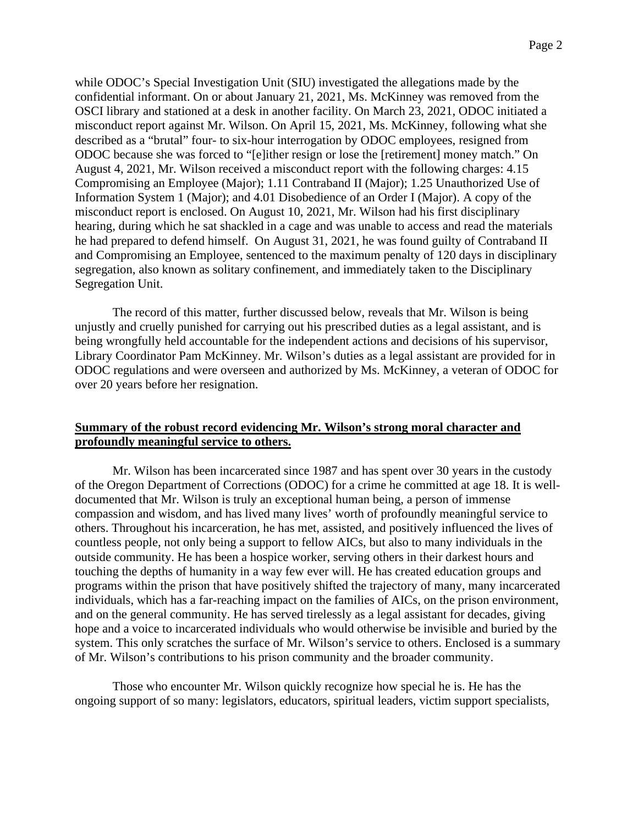while ODOC's Special Investigation Unit (SIU) investigated the allegations made by the confidential informant. On or about January 21, 2021, Ms. McKinney was removed from the OSCI library and stationed at a desk in another facility. On March 23, 2021, ODOC initiated a misconduct report against Mr. Wilson. On April 15, 2021, Ms. McKinney, following what she described as a "brutal" four- to six-hour interrogation by ODOC employees, resigned from ODOC because she was forced to "[e]ither resign or lose the [retirement] money match." On August 4, 2021, Mr. Wilson received a misconduct report with the following charges: 4.15 Compromising an Employee (Major); 1.11 Contraband II (Major); 1.25 Unauthorized Use of Information System 1 (Major); and 4.01 Disobedience of an Order I (Major). A copy of the misconduct report is enclosed. On August 10, 2021, Mr. Wilson had his first disciplinary hearing, during which he sat shackled in a cage and was unable to access and read the materials he had prepared to defend himself. On August 31, 2021, he was found guilty of Contraband II and Compromising an Employee, sentenced to the maximum penalty of 120 days in disciplinary segregation, also known as solitary confinement, and immediately taken to the Disciplinary Segregation Unit.

The record of this matter, further discussed below, reveals that Mr. Wilson is being unjustly and cruelly punished for carrying out his prescribed duties as a legal assistant, and is being wrongfully held accountable for the independent actions and decisions of his supervisor, Library Coordinator Pam McKinney. Mr. Wilson's duties as a legal assistant are provided for in ODOC regulations and were overseen and authorized by Ms. McKinney, a veteran of ODOC for over 20 years before her resignation.

## **Summary of the robust record evidencing Mr. Wilson's strong moral character and profoundly meaningful service to others.**

Mr. Wilson has been incarcerated since 1987 and has spent over 30 years in the custody of the Oregon Department of Corrections (ODOC) for a crime he committed at age 18. It is welldocumented that Mr. Wilson is truly an exceptional human being, a person of immense compassion and wisdom, and has lived many lives' worth of profoundly meaningful service to others. Throughout his incarceration, he has met, assisted, and positively influenced the lives of countless people, not only being a support to fellow AICs, but also to many individuals in the outside community. He has been a hospice worker, serving others in their darkest hours and touching the depths of humanity in a way few ever will. He has created education groups and programs within the prison that have positively shifted the trajectory of many, many incarcerated individuals, which has a far-reaching impact on the families of AICs, on the prison environment, and on the general community. He has served tirelessly as a legal assistant for decades, giving hope and a voice to incarcerated individuals who would otherwise be invisible and buried by the system. This only scratches the surface of Mr. Wilson's service to others. Enclosed is a summary of Mr. Wilson's contributions to his prison community and the broader community.

Those who encounter Mr. Wilson quickly recognize how special he is. He has the ongoing support of so many: legislators, educators, spiritual leaders, victim support specialists,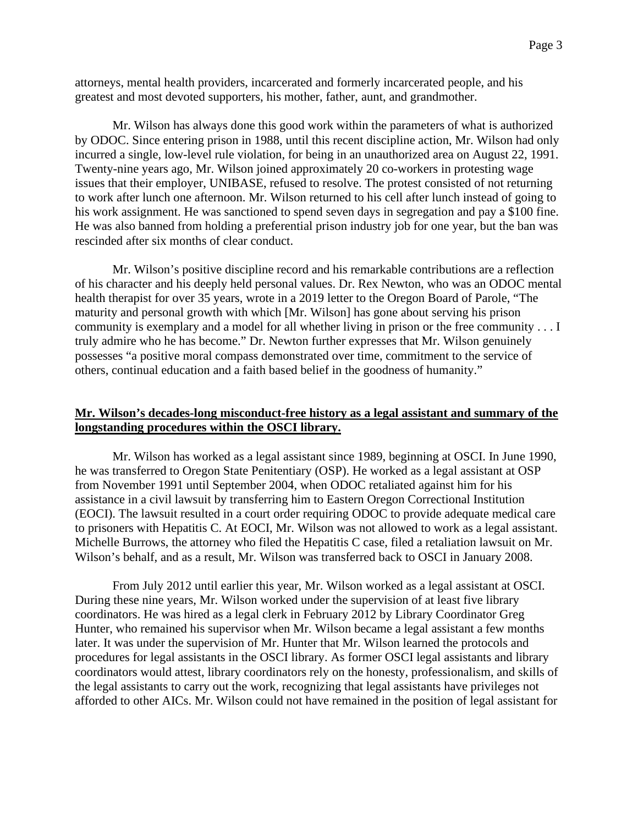attorneys, mental health providers, incarcerated and formerly incarcerated people, and his greatest and most devoted supporters, his mother, father, aunt, and grandmother.

Mr. Wilson has always done this good work within the parameters of what is authorized by ODOC. Since entering prison in 1988, until this recent discipline action, Mr. Wilson had only incurred a single, low-level rule violation, for being in an unauthorized area on August 22, 1991. Twenty-nine years ago, Mr. Wilson joined approximately 20 co-workers in protesting wage issues that their employer, UNIBASE, refused to resolve. The protest consisted of not returning to work after lunch one afternoon. Mr. Wilson returned to his cell after lunch instead of going to his work assignment. He was sanctioned to spend seven days in segregation and pay a \$100 fine. He was also banned from holding a preferential prison industry job for one year, but the ban was rescinded after six months of clear conduct.

Mr. Wilson's positive discipline record and his remarkable contributions are a reflection of his character and his deeply held personal values. Dr. Rex Newton, who was an ODOC mental health therapist for over 35 years, wrote in a 2019 letter to the Oregon Board of Parole, "The maturity and personal growth with which [Mr. Wilson] has gone about serving his prison community is exemplary and a model for all whether living in prison or the free community . . . I truly admire who he has become." Dr. Newton further expresses that Mr. Wilson genuinely possesses "a positive moral compass demonstrated over time, commitment to the service of others, continual education and a faith based belief in the goodness of humanity."

## **Mr. Wilson's decades-long misconduct-free history as a legal assistant and summary of the longstanding procedures within the OSCI library.**

Mr. Wilson has worked as a legal assistant since 1989, beginning at OSCI. In June 1990, he was transferred to Oregon State Penitentiary (OSP). He worked as a legal assistant at OSP from November 1991 until September 2004, when ODOC retaliated against him for his assistance in a civil lawsuit by transferring him to Eastern Oregon Correctional Institution (EOCI). The lawsuit resulted in a court order requiring ODOC to provide adequate medical care to prisoners with Hepatitis C. At EOCI, Mr. Wilson was not allowed to work as a legal assistant. Michelle Burrows, the attorney who filed the Hepatitis C case, filed a retaliation lawsuit on Mr. Wilson's behalf, and as a result, Mr. Wilson was transferred back to OSCI in January 2008.

From July 2012 until earlier this year, Mr. Wilson worked as a legal assistant at OSCI. During these nine years, Mr. Wilson worked under the supervision of at least five library coordinators. He was hired as a legal clerk in February 2012 by Library Coordinator Greg Hunter, who remained his supervisor when Mr. Wilson became a legal assistant a few months later. It was under the supervision of Mr. Hunter that Mr. Wilson learned the protocols and procedures for legal assistants in the OSCI library. As former OSCI legal assistants and library coordinators would attest, library coordinators rely on the honesty, professionalism, and skills of the legal assistants to carry out the work, recognizing that legal assistants have privileges not afforded to other AICs. Mr. Wilson could not have remained in the position of legal assistant for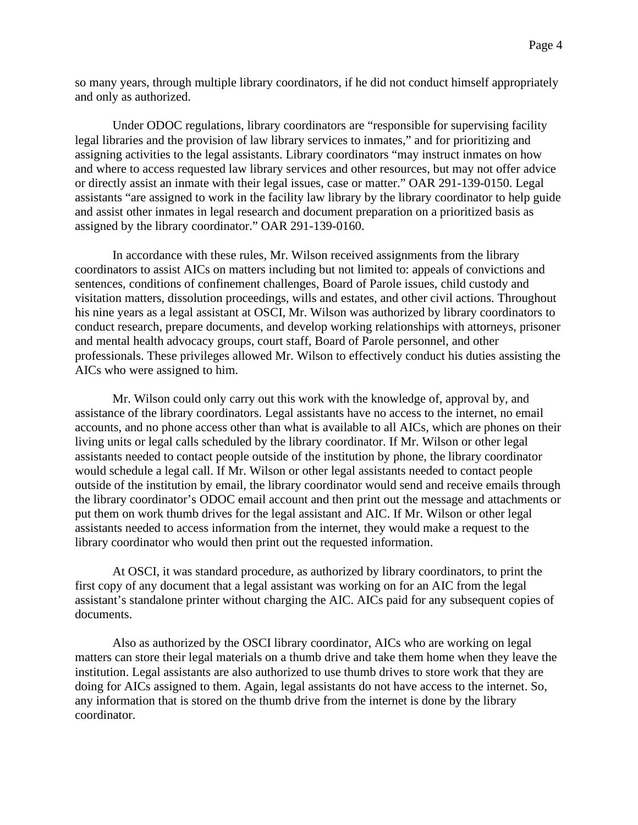so many years, through multiple library coordinators, if he did not conduct himself appropriately and only as authorized.

Under ODOC regulations, library coordinators are "responsible for supervising facility legal libraries and the provision of law library services to inmates," and for prioritizing and assigning activities to the legal assistants. Library coordinators "may instruct inmates on how and where to access requested law library services and other resources, but may not offer advice or directly assist an inmate with their legal issues, case or matter." OAR 291-139-0150. Legal assistants "are assigned to work in the facility law library by the library coordinator to help guide and assist other inmates in legal research and document preparation on a prioritized basis as assigned by the library coordinator." OAR 291-139-0160.

In accordance with these rules, Mr. Wilson received assignments from the library coordinators to assist AICs on matters including but not limited to: appeals of convictions and sentences, conditions of confinement challenges, Board of Parole issues, child custody and visitation matters, dissolution proceedings, wills and estates, and other civil actions. Throughout his nine years as a legal assistant at OSCI, Mr. Wilson was authorized by library coordinators to conduct research, prepare documents, and develop working relationships with attorneys, prisoner and mental health advocacy groups, court staff, Board of Parole personnel, and other professionals. These privileges allowed Mr. Wilson to effectively conduct his duties assisting the AICs who were assigned to him.

Mr. Wilson could only carry out this work with the knowledge of, approval by, and assistance of the library coordinators. Legal assistants have no access to the internet, no email accounts, and no phone access other than what is available to all AICs, which are phones on their living units or legal calls scheduled by the library coordinator. If Mr. Wilson or other legal assistants needed to contact people outside of the institution by phone, the library coordinator would schedule a legal call. If Mr. Wilson or other legal assistants needed to contact people outside of the institution by email, the library coordinator would send and receive emails through the library coordinator's ODOC email account and then print out the message and attachments or put them on work thumb drives for the legal assistant and AIC. If Mr. Wilson or other legal assistants needed to access information from the internet, they would make a request to the library coordinator who would then print out the requested information.

At OSCI, it was standard procedure, as authorized by library coordinators, to print the first copy of any document that a legal assistant was working on for an AIC from the legal assistant's standalone printer without charging the AIC. AICs paid for any subsequent copies of documents.

Also as authorized by the OSCI library coordinator, AICs who are working on legal matters can store their legal materials on a thumb drive and take them home when they leave the institution. Legal assistants are also authorized to use thumb drives to store work that they are doing for AICs assigned to them. Again, legal assistants do not have access to the internet. So, any information that is stored on the thumb drive from the internet is done by the library coordinator.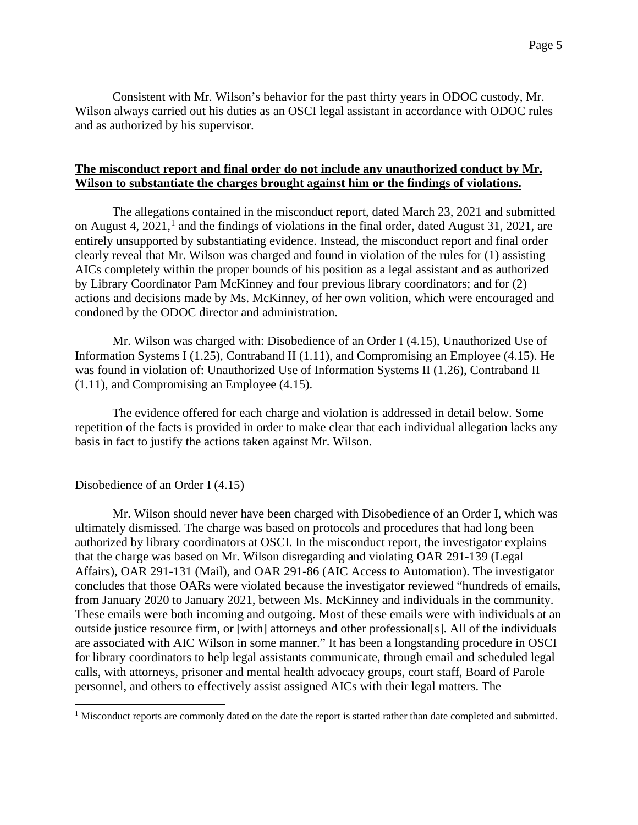Consistent with Mr. Wilson's behavior for the past thirty years in ODOC custody, Mr. Wilson always carried out his duties as an OSCI legal assistant in accordance with ODOC rules and as authorized by his supervisor.

## **The misconduct report and final order do not include any unauthorized conduct by Mr. Wilson to substantiate the charges brought against him or the findings of violations.**

The allegations contained in the misconduct report, dated March 23, 2021 and submitted on August 4,  $2021<sup>1</sup>$  $2021<sup>1</sup>$  $2021<sup>1</sup>$  and the findings of violations in the final order, dated August 31, 2021, are entirely unsupported by substantiating evidence. Instead, the misconduct report and final order clearly reveal that Mr. Wilson was charged and found in violation of the rules for (1) assisting AICs completely within the proper bounds of his position as a legal assistant and as authorized by Library Coordinator Pam McKinney and four previous library coordinators; and for (2) actions and decisions made by Ms. McKinney, of her own volition, which were encouraged and condoned by the ODOC director and administration.

Mr. Wilson was charged with: Disobedience of an Order I (4.15), Unauthorized Use of Information Systems I (1.25), Contraband II (1.11), and Compromising an Employee (4.15). He was found in violation of: Unauthorized Use of Information Systems II (1.26), Contraband II (1.11), and Compromising an Employee (4.15).

The evidence offered for each charge and violation is addressed in detail below. Some repetition of the facts is provided in order to make clear that each individual allegation lacks any basis in fact to justify the actions taken against Mr. Wilson.

## Disobedience of an Order I (4.15)

Mr. Wilson should never have been charged with Disobedience of an Order I, which was ultimately dismissed. The charge was based on protocols and procedures that had long been authorized by library coordinators at OSCI. In the misconduct report, the investigator explains that the charge was based on Mr. Wilson disregarding and violating OAR 291-139 (Legal Affairs), OAR 291-131 (Mail), and OAR 291-86 (AIC Access to Automation). The investigator concludes that those OARs were violated because the investigator reviewed "hundreds of emails, from January 2020 to January 2021, between Ms. McKinney and individuals in the community. These emails were both incoming and outgoing. Most of these emails were with individuals at an outside justice resource firm, or [with] attorneys and other professional[s]. All of the individuals are associated with AIC Wilson in some manner." It has been a longstanding procedure in OSCI for library coordinators to help legal assistants communicate, through email and scheduled legal calls, with attorneys, prisoner and mental health advocacy groups, court staff, Board of Parole personnel, and others to effectively assist assigned AICs with their legal matters. The

<span id="page-4-0"></span><sup>&</sup>lt;sup>1</sup> Misconduct reports are commonly dated on the date the report is started rather than date completed and submitted.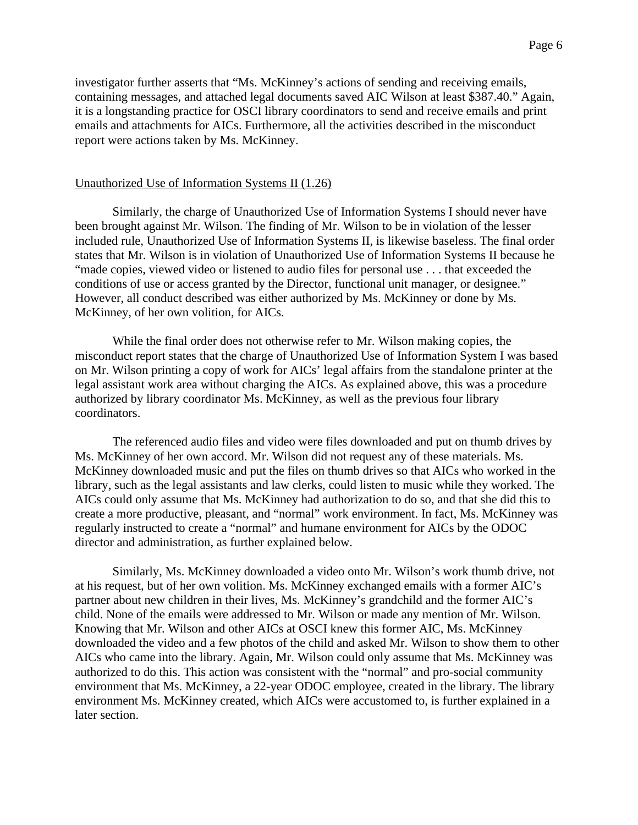investigator further asserts that "Ms. McKinney's actions of sending and receiving emails, containing messages, and attached legal documents saved AIC Wilson at least \$387.40." Again, it is a longstanding practice for OSCI library coordinators to send and receive emails and print emails and attachments for AICs. Furthermore, all the activities described in the misconduct report were actions taken by Ms. McKinney.

#### Unauthorized Use of Information Systems II (1.26)

Similarly, the charge of Unauthorized Use of Information Systems I should never have been brought against Mr. Wilson. The finding of Mr. Wilson to be in violation of the lesser included rule, Unauthorized Use of Information Systems II, is likewise baseless. The final order states that Mr. Wilson is in violation of Unauthorized Use of Information Systems II because he "made copies, viewed video or listened to audio files for personal use . . . that exceeded the conditions of use or access granted by the Director, functional unit manager, or designee." However, all conduct described was either authorized by Ms. McKinney or done by Ms. McKinney, of her own volition, for AICs.

While the final order does not otherwise refer to Mr. Wilson making copies, the misconduct report states that the charge of Unauthorized Use of Information System I was based on Mr. Wilson printing a copy of work for AICs' legal affairs from the standalone printer at the legal assistant work area without charging the AICs. As explained above, this was a procedure authorized by library coordinator Ms. McKinney, as well as the previous four library coordinators.

The referenced audio files and video were files downloaded and put on thumb drives by Ms. McKinney of her own accord. Mr. Wilson did not request any of these materials. Ms. McKinney downloaded music and put the files on thumb drives so that AICs who worked in the library, such as the legal assistants and law clerks, could listen to music while they worked. The AICs could only assume that Ms. McKinney had authorization to do so, and that she did this to create a more productive, pleasant, and "normal" work environment. In fact, Ms. McKinney was regularly instructed to create a "normal" and humane environment for AICs by the ODOC director and administration, as further explained below.

Similarly, Ms. McKinney downloaded a video onto Mr. Wilson's work thumb drive, not at his request, but of her own volition. Ms. McKinney exchanged emails with a former AIC's partner about new children in their lives, Ms. McKinney's grandchild and the former AIC's child. None of the emails were addressed to Mr. Wilson or made any mention of Mr. Wilson. Knowing that Mr. Wilson and other AICs at OSCI knew this former AIC, Ms. McKinney downloaded the video and a few photos of the child and asked Mr. Wilson to show them to other AICs who came into the library. Again, Mr. Wilson could only assume that Ms. McKinney was authorized to do this. This action was consistent with the "normal" and pro-social community environment that Ms. McKinney, a 22-year ODOC employee, created in the library. The library environment Ms. McKinney created, which AICs were accustomed to, is further explained in a later section.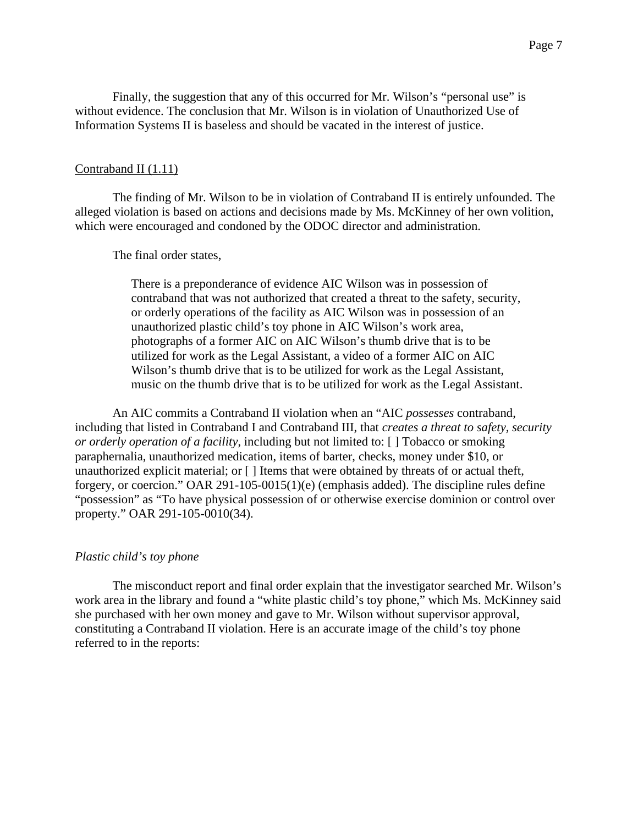Finally, the suggestion that any of this occurred for Mr. Wilson's "personal use" is without evidence. The conclusion that Mr. Wilson is in violation of Unauthorized Use of Information Systems II is baseless and should be vacated in the interest of justice.

#### Contraband II (1.11)

The finding of Mr. Wilson to be in violation of Contraband II is entirely unfounded. The alleged violation is based on actions and decisions made by Ms. McKinney of her own volition, which were encouraged and condoned by the ODOC director and administration.

The final order states,

There is a preponderance of evidence AIC Wilson was in possession of contraband that was not authorized that created a threat to the safety, security, or orderly operations of the facility as AIC Wilson was in possession of an unauthorized plastic child's toy phone in AIC Wilson's work area, photographs of a former AIC on AIC Wilson's thumb drive that is to be utilized for work as the Legal Assistant, a video of a former AIC on AIC Wilson's thumb drive that is to be utilized for work as the Legal Assistant, music on the thumb drive that is to be utilized for work as the Legal Assistant.

An AIC commits a Contraband II violation when an "AIC *possesses* contraband, including that listed in Contraband I and Contraband III, that *creates a threat to safety, security or orderly operation of a facility*, including but not limited to: [ ] Tobacco or smoking paraphernalia, unauthorized medication, items of barter, checks, money under \$10, or unauthorized explicit material; or [ ] Items that were obtained by threats of or actual theft, forgery, or coercion." OAR 291-105-0015(1)(e) (emphasis added). The discipline rules define "possession" as "To have physical possession of or otherwise exercise dominion or control over property." OAR 291-105-0010(34).

#### *Plastic child's toy phone*

The misconduct report and final order explain that the investigator searched Mr. Wilson's work area in the library and found a "white plastic child's toy phone," which Ms. McKinney said she purchased with her own money and gave to Mr. Wilson without supervisor approval, constituting a Contraband II violation. Here is an accurate image of the child's toy phone referred to in the reports: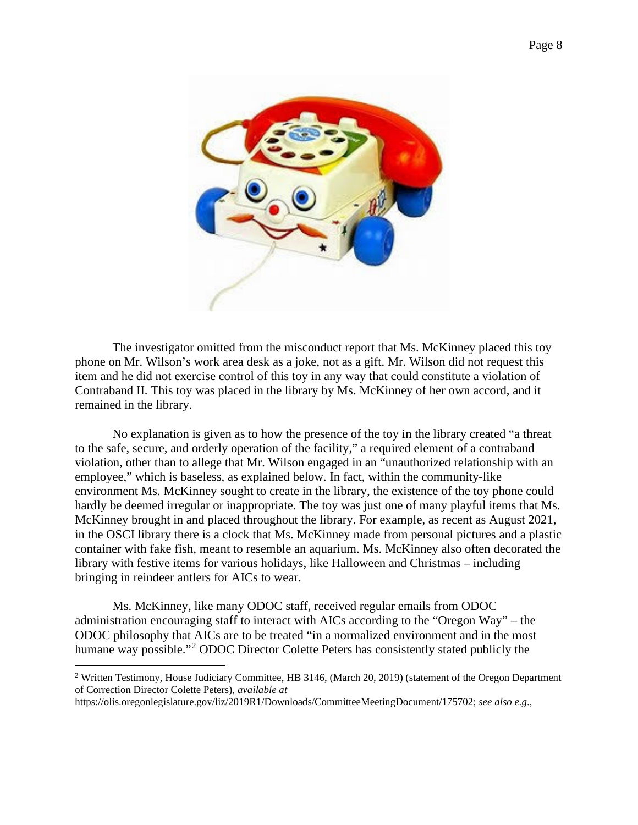

The investigator omitted from the misconduct report that Ms. McKinney placed this toy phone on Mr. Wilson's work area desk as a joke, not as a gift. Mr. Wilson did not request this item and he did not exercise control of this toy in any way that could constitute a violation of Contraband II. This toy was placed in the library by Ms. McKinney of her own accord, and it remained in the library.

No explanation is given as to how the presence of the toy in the library created "a threat to the safe, secure, and orderly operation of the facility," a required element of a contraband violation, other than to allege that Mr. Wilson engaged in an "unauthorized relationship with an employee," which is baseless, as explained below. In fact, within the community-like environment Ms. McKinney sought to create in the library, the existence of the toy phone could hardly be deemed irregular or inappropriate. The toy was just one of many playful items that Ms. McKinney brought in and placed throughout the library. For example, as recent as August 2021, in the OSCI library there is a clock that Ms. McKinney made from personal pictures and a plastic container with fake fish, meant to resemble an aquarium. Ms. McKinney also often decorated the library with festive items for various holidays, like Halloween and Christmas – including bringing in reindeer antlers for AICs to wear.

Ms. McKinney, like many ODOC staff, received regular emails from ODOC administration encouraging staff to interact with AICs according to the "Oregon Way" – the ODOC philosophy that AICs are to be treated "in a normalized environment and in the most humane way possible."<sup>[2](#page-7-0)</sup> ODOC Director Colette Peters has consistently stated publicly the

<span id="page-7-0"></span><sup>2</sup> Written Testimony, House Judiciary Committee, HB 3146, (March 20, 2019) (statement of the Oregon Department of Correction Director Colette Peters), *available at*

https://olis.oregonlegislature.gov/liz/2019R1/Downloads/CommitteeMeetingDocument/175702; *see also e.g*.,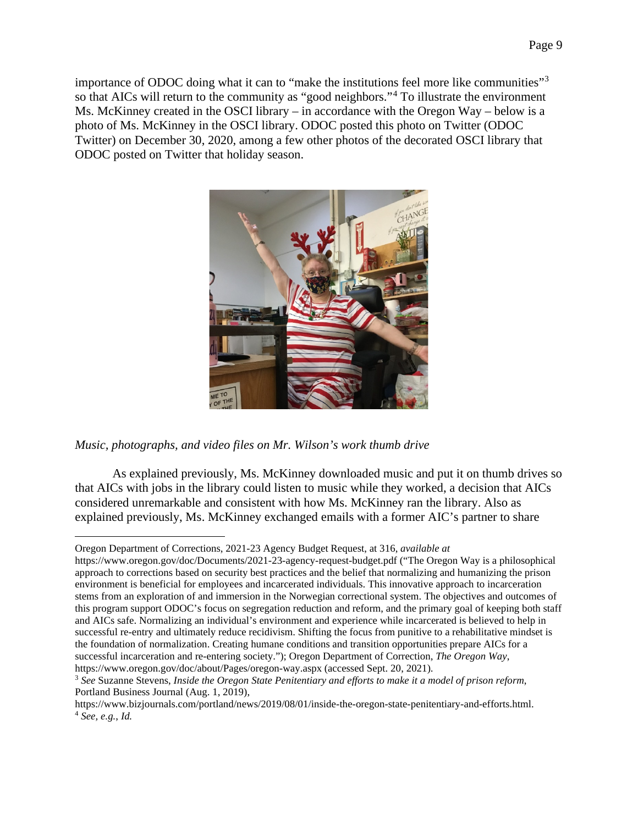importance of ODOC doing what it can to "make the institutions feel more like communities"[3](#page-8-0) so that AICs will return to the community as "good neighbors."<sup>[4](#page-8-1)</sup> To illustrate the environment Ms. McKinney created in the OSCI library – in accordance with the Oregon Way – below is a photo of Ms. McKinney in the OSCI library. ODOC posted this photo on Twitter (ODOC Twitter) on December 30, 2020, among a few other photos of the decorated OSCI library that ODOC posted on Twitter that holiday season.



*Music, photographs, and video files on Mr. Wilson's work thumb drive*

As explained previously, Ms. McKinney downloaded music and put it on thumb drives so that AICs with jobs in the library could listen to music while they worked, a decision that AICs considered unremarkable and consistent with how Ms. McKinney ran the library. Also as explained previously, Ms. McKinney exchanged emails with a former AIC's partner to share

Oregon Department of Corrections, 2021-23 Agency Budget Request, at 316, *available at* 

https://www.oregon.gov/doc/Documents/2021-23-agency-request-budget.pdf ("The Oregon Way is a philosophical approach to corrections based on security best practices and the belief that normalizing and humanizing the prison environment is beneficial for employees and incarcerated individuals. This innovative approach to incarceration stems from an exploration of and immersion in the Norwegian correctional system. The objectives and outcomes of this program support ODOC's focus on segregation reduction and reform, and the primary goal of keeping both staff and AICs safe. Normalizing an individual's environment and experience while incarcerated is believed to help in successful re-entry and ultimately reduce recidivism. Shifting the focus from punitive to a rehabilitative mindset is the foundation of normalization. Creating humane conditions and transition opportunities prepare AICs for a successful incarceration and re-entering society."); Oregon Department of Correction, *The Oregon Way*, https://www.oregon.gov/doc/about/Pages/oregon-way.aspx (accessed Sept. 20, 2021).

<span id="page-8-0"></span><sup>3</sup> *See* Suzanne Stevens, *Inside the Oregon State Penitentiary and efforts to make it a model of prison reform*, Portland Business Journal (Aug. 1, 2019),

<span id="page-8-1"></span>https://www.bizjournals.com/portland/news/2019/08/01/inside-the-oregon-state-penitentiary-and-efforts.html. 4 *See, e.g.*, *Id.*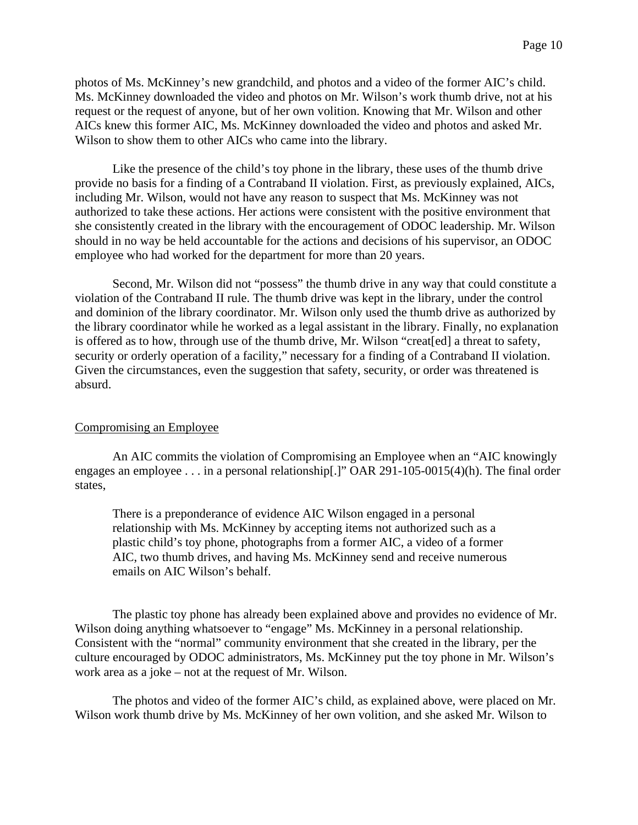photos of Ms. McKinney's new grandchild, and photos and a video of the former AIC's child. Ms. McKinney downloaded the video and photos on Mr. Wilson's work thumb drive, not at his request or the request of anyone, but of her own volition. Knowing that Mr. Wilson and other AICs knew this former AIC, Ms. McKinney downloaded the video and photos and asked Mr. Wilson to show them to other AICs who came into the library.

Like the presence of the child's toy phone in the library, these uses of the thumb drive provide no basis for a finding of a Contraband II violation. First, as previously explained, AICs, including Mr. Wilson, would not have any reason to suspect that Ms. McKinney was not authorized to take these actions. Her actions were consistent with the positive environment that she consistently created in the library with the encouragement of ODOC leadership. Mr. Wilson should in no way be held accountable for the actions and decisions of his supervisor, an ODOC employee who had worked for the department for more than 20 years.

Second, Mr. Wilson did not "possess" the thumb drive in any way that could constitute a violation of the Contraband II rule. The thumb drive was kept in the library, under the control and dominion of the library coordinator. Mr. Wilson only used the thumb drive as authorized by the library coordinator while he worked as a legal assistant in the library. Finally, no explanation is offered as to how, through use of the thumb drive, Mr. Wilson "creat[ed] a threat to safety, security or orderly operation of a facility," necessary for a finding of a Contraband II violation. Given the circumstances, even the suggestion that safety, security, or order was threatened is absurd.

#### Compromising an Employee

An AIC commits the violation of Compromising an Employee when an "AIC knowingly engages an employee . . . in a personal relationship[.]" OAR 291-105-0015(4)(h). The final order states,

There is a preponderance of evidence AIC Wilson engaged in a personal relationship with Ms. McKinney by accepting items not authorized such as a plastic child's toy phone, photographs from a former AIC, a video of a former AIC, two thumb drives, and having Ms. McKinney send and receive numerous emails on AIC Wilson's behalf.

The plastic toy phone has already been explained above and provides no evidence of Mr. Wilson doing anything whatsoever to "engage" Ms. McKinney in a personal relationship. Consistent with the "normal" community environment that she created in the library, per the culture encouraged by ODOC administrators, Ms. McKinney put the toy phone in Mr. Wilson's work area as a joke – not at the request of Mr. Wilson.

The photos and video of the former AIC's child, as explained above, were placed on Mr. Wilson work thumb drive by Ms. McKinney of her own volition, and she asked Mr. Wilson to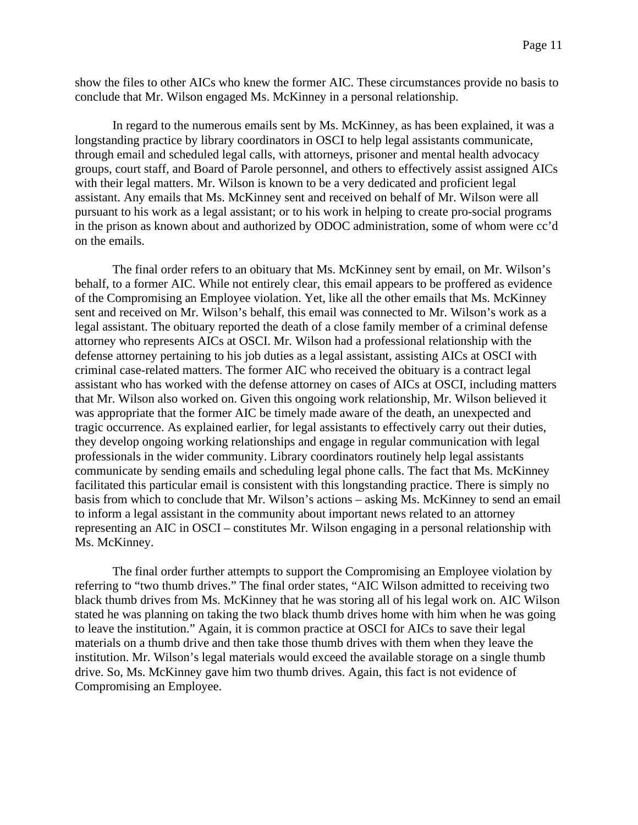show the files to other AICs who knew the former AIC. These circumstances provide no basis to conclude that Mr. Wilson engaged Ms. McKinney in a personal relationship.

In regard to the numerous emails sent by Ms. McKinney, as has been explained, it was a longstanding practice by library coordinators in OSCI to help legal assistants communicate, through email and scheduled legal calls, with attorneys, prisoner and mental health advocacy groups, court staff, and Board of Parole personnel, and others to effectively assist assigned AICs with their legal matters. Mr. Wilson is known to be a very dedicated and proficient legal assistant. Any emails that Ms. McKinney sent and received on behalf of Mr. Wilson were all pursuant to his work as a legal assistant; or to his work in helping to create pro-social programs in the prison as known about and authorized by ODOC administration, some of whom were cc'd on the emails.

The final order refers to an obituary that Ms. McKinney sent by email, on Mr. Wilson's behalf, to a former AIC. While not entirely clear, this email appears to be proffered as evidence of the Compromising an Employee violation. Yet, like all the other emails that Ms. McKinney sent and received on Mr. Wilson's behalf, this email was connected to Mr. Wilson's work as a legal assistant. The obituary reported the death of a close family member of a criminal defense attorney who represents AICs at OSCI. Mr. Wilson had a professional relationship with the defense attorney pertaining to his job duties as a legal assistant, assisting AICs at OSCI with criminal case-related matters. The former AIC who received the obituary is a contract legal assistant who has worked with the defense attorney on cases of AICs at OSCI, including matters that Mr. Wilson also worked on. Given this ongoing work relationship, Mr. Wilson believed it was appropriate that the former AIC be timely made aware of the death, an unexpected and tragic occurrence. As explained earlier, for legal assistants to effectively carry out their duties, they develop ongoing working relationships and engage in regular communication with legal professionals in the wider community. Library coordinators routinely help legal assistants communicate by sending emails and scheduling legal phone calls. The fact that Ms. McKinney facilitated this particular email is consistent with this longstanding practice. There is simply no basis from which to conclude that Mr. Wilson's actions – asking Ms. McKinney to send an email to inform a legal assistant in the community about important news related to an attorney representing an AIC in OSCI – constitutes Mr. Wilson engaging in a personal relationship with Ms. McKinney.

The final order further attempts to support the Compromising an Employee violation by referring to "two thumb drives." The final order states, "AIC Wilson admitted to receiving two black thumb drives from Ms. McKinney that he was storing all of his legal work on. AIC Wilson stated he was planning on taking the two black thumb drives home with him when he was going to leave the institution." Again, it is common practice at OSCI for AICs to save their legal materials on a thumb drive and then take those thumb drives with them when they leave the institution. Mr. Wilson's legal materials would exceed the available storage on a single thumb drive. So, Ms. McKinney gave him two thumb drives. Again, this fact is not evidence of Compromising an Employee.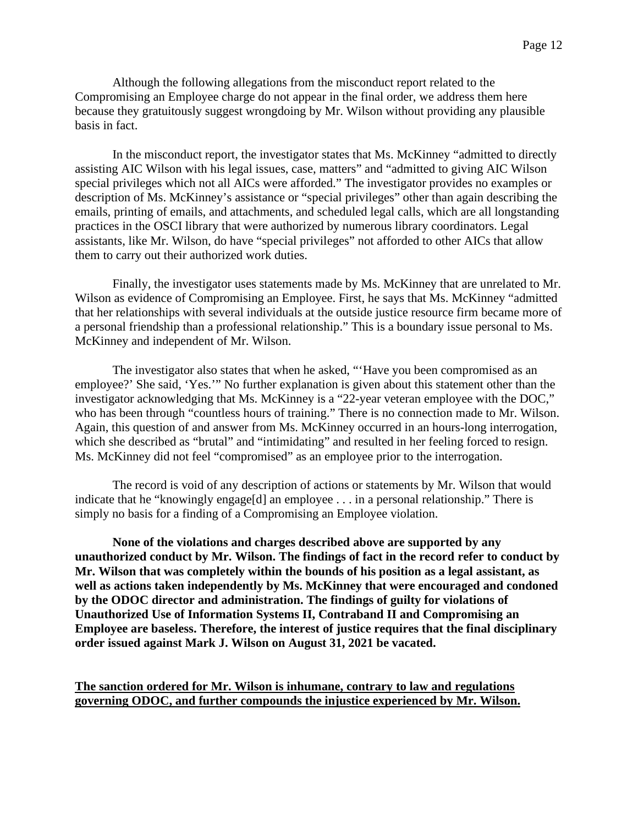Although the following allegations from the misconduct report related to the Compromising an Employee charge do not appear in the final order, we address them here because they gratuitously suggest wrongdoing by Mr. Wilson without providing any plausible basis in fact.

In the misconduct report, the investigator states that Ms. McKinney "admitted to directly assisting AIC Wilson with his legal issues, case, matters" and "admitted to giving AIC Wilson special privileges which not all AICs were afforded." The investigator provides no examples or description of Ms. McKinney's assistance or "special privileges" other than again describing the emails, printing of emails, and attachments, and scheduled legal calls, which are all longstanding practices in the OSCI library that were authorized by numerous library coordinators. Legal assistants, like Mr. Wilson, do have "special privileges" not afforded to other AICs that allow them to carry out their authorized work duties.

Finally, the investigator uses statements made by Ms. McKinney that are unrelated to Mr. Wilson as evidence of Compromising an Employee. First, he says that Ms. McKinney "admitted that her relationships with several individuals at the outside justice resource firm became more of a personal friendship than a professional relationship." This is a boundary issue personal to Ms. McKinney and independent of Mr. Wilson.

The investigator also states that when he asked, "'Have you been compromised as an employee?' She said, 'Yes.'" No further explanation is given about this statement other than the investigator acknowledging that Ms. McKinney is a "22-year veteran employee with the DOC," who has been through "countless hours of training." There is no connection made to Mr. Wilson. Again, this question of and answer from Ms. McKinney occurred in an hours-long interrogation, which she described as "brutal" and "intimidating" and resulted in her feeling forced to resign. Ms. McKinney did not feel "compromised" as an employee prior to the interrogation.

The record is void of any description of actions or statements by Mr. Wilson that would indicate that he "knowingly engage<sup>[d]</sup> an employee . . . in a personal relationship." There is simply no basis for a finding of a Compromising an Employee violation.

**None of the violations and charges described above are supported by any unauthorized conduct by Mr. Wilson. The findings of fact in the record refer to conduct by Mr. Wilson that was completely within the bounds of his position as a legal assistant, as well as actions taken independently by Ms. McKinney that were encouraged and condoned by the ODOC director and administration. The findings of guilty for violations of Unauthorized Use of Information Systems II, Contraband II and Compromising an Employee are baseless. Therefore, the interest of justice requires that the final disciplinary order issued against Mark J. Wilson on August 31, 2021 be vacated.**

**The sanction ordered for Mr. Wilson is inhumane, contrary to law and regulations governing ODOC, and further compounds the injustice experienced by Mr. Wilson.**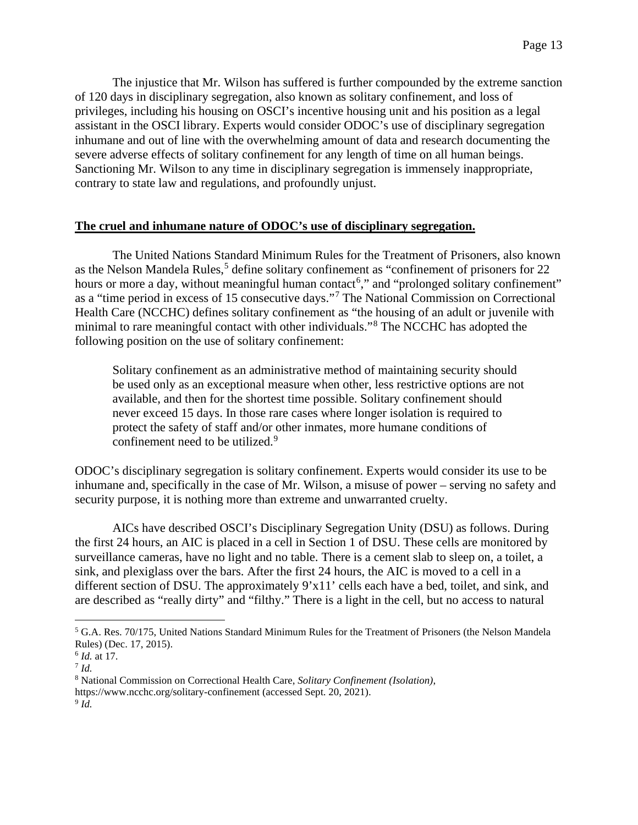The injustice that Mr. Wilson has suffered is further compounded by the extreme sanction of 120 days in disciplinary segregation, also known as solitary confinement, and loss of privileges, including his housing on OSCI's incentive housing unit and his position as a legal assistant in the OSCI library. Experts would consider ODOC's use of disciplinary segregation inhumane and out of line with the overwhelming amount of data and research documenting the severe adverse effects of solitary confinement for any length of time on all human beings. Sanctioning Mr. Wilson to any time in disciplinary segregation is immensely inappropriate, contrary to state law and regulations, and profoundly unjust.

## **The cruel and inhumane nature of ODOC's use of disciplinary segregation.**

The United Nations Standard Minimum Rules for the Treatment of Prisoners, also known as the Nelson Mandela Rules,<sup>[5](#page-12-0)</sup> define solitary confinement as "confinement of prisoners for 22 hours or more a day, without meaningful human contact<sup>[6](#page-12-1)</sup>," and "prolonged solitary confinement" as a "time period in excess of 15 consecutive days."[7](#page-12-2) The National Commission on Correctional Health Care (NCCHC) defines solitary confinement as "the housing of an adult or juvenile with minimal to rare meaningful contact with other individuals."[8](#page-12-3) The NCCHC has adopted the following position on the use of solitary confinement:

Solitary confinement as an administrative method of maintaining security should be used only as an exceptional measure when other, less restrictive options are not available, and then for the shortest time possible. Solitary confinement should never exceed 15 days. In those rare cases where longer isolation is required to protect the safety of staff and/or other inmates, more humane conditions of confinement need to be utilized.<sup>[9](#page-12-4)</sup>

ODOC's disciplinary segregation is solitary confinement. Experts would consider its use to be inhumane and, specifically in the case of Mr. Wilson, a misuse of power – serving no safety and security purpose, it is nothing more than extreme and unwarranted cruelty.

AICs have described OSCI's Disciplinary Segregation Unity (DSU) as follows. During the first 24 hours, an AIC is placed in a cell in Section 1 of DSU. These cells are monitored by surveillance cameras, have no light and no table. There is a cement slab to sleep on, a toilet, a sink, and plexiglass over the bars. After the first 24 hours, the AIC is moved to a cell in a different section of DSU. The approximately 9'x11' cells each have a bed, toilet, and sink, and are described as "really dirty" and "filthy." There is a light in the cell, but no access to natural

<span id="page-12-0"></span><sup>5</sup> G.A. Res. 70/175, United Nations Standard Minimum Rules for the Treatment of Prisoners (the Nelson Mandela Rules) (Dec. 17, 2015).

<span id="page-12-1"></span><sup>6</sup> *Id.* at 17.

<span id="page-12-2"></span><sup>7</sup> *Id.*

<span id="page-12-3"></span><sup>8</sup> National Commission on Correctional Health Care, *Solitary Confinement (Isolation)*,

https://www.ncchc.org/solitary-confinement (accessed Sept. 20, 2021).

<span id="page-12-4"></span><sup>9</sup> *Id.*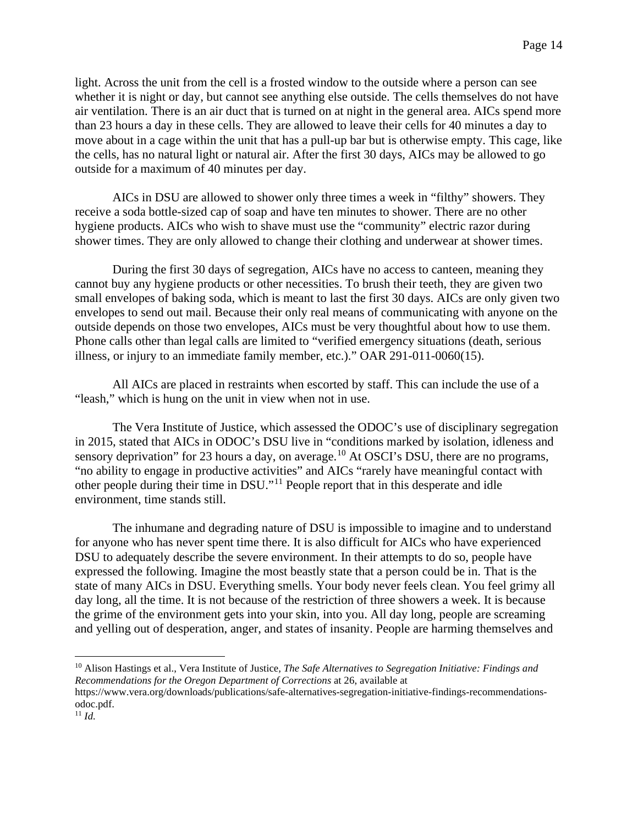light. Across the unit from the cell is a frosted window to the outside where a person can see whether it is night or day, but cannot see anything else outside. The cells themselves do not have air ventilation. There is an air duct that is turned on at night in the general area. AICs spend more than 23 hours a day in these cells. They are allowed to leave their cells for 40 minutes a day to move about in a cage within the unit that has a pull-up bar but is otherwise empty. This cage, like the cells, has no natural light or natural air. After the first 30 days, AICs may be allowed to go outside for a maximum of 40 minutes per day.

AICs in DSU are allowed to shower only three times a week in "filthy" showers. They receive a soda bottle-sized cap of soap and have ten minutes to shower. There are no other hygiene products. AICs who wish to shave must use the "community" electric razor during shower times. They are only allowed to change their clothing and underwear at shower times.

During the first 30 days of segregation, AICs have no access to canteen, meaning they cannot buy any hygiene products or other necessities. To brush their teeth, they are given two small envelopes of baking soda, which is meant to last the first 30 days. AICs are only given two envelopes to send out mail. Because their only real means of communicating with anyone on the outside depends on those two envelopes, AICs must be very thoughtful about how to use them. Phone calls other than legal calls are limited to "verified emergency situations (death, serious illness, or injury to an immediate family member, etc.)." OAR 291-011-0060(15).

All AICs are placed in restraints when escorted by staff. This can include the use of a "leash," which is hung on the unit in view when not in use.

The Vera Institute of Justice, which assessed the ODOC's use of disciplinary segregation in 2015, stated that AICs in ODOC's DSU live in "conditions marked by isolation, idleness and sensory deprivation" for 23 hours a day, on average.<sup>[10](#page-13-0)</sup> At OSCI's DSU, there are no programs, "no ability to engage in productive activities" and AICs "rarely have meaningful contact with other people during their time in DSU."[11](#page-13-1) People report that in this desperate and idle environment, time stands still.

The inhumane and degrading nature of DSU is impossible to imagine and to understand for anyone who has never spent time there. It is also difficult for AICs who have experienced DSU to adequately describe the severe environment. In their attempts to do so, people have expressed the following. Imagine the most beastly state that a person could be in. That is the state of many AICs in DSU. Everything smells. Your body never feels clean. You feel grimy all day long, all the time. It is not because of the restriction of three showers a week. It is because the grime of the environment gets into your skin, into you. All day long, people are screaming and yelling out of desperation, anger, and states of insanity. People are harming themselves and

<span id="page-13-0"></span><sup>10</sup> Alison Hastings et al., Vera Institute of Justice*, The Safe Alternatives to Segregation Initiative: Findings and Recommendations for the Oregon Department of Corrections* at 26, available at

https://www.vera.org/downloads/publications/safe-alternatives-segregation-initiative-findings-recommendationsodoc.pdf.

<span id="page-13-1"></span><sup>11</sup> *Id.*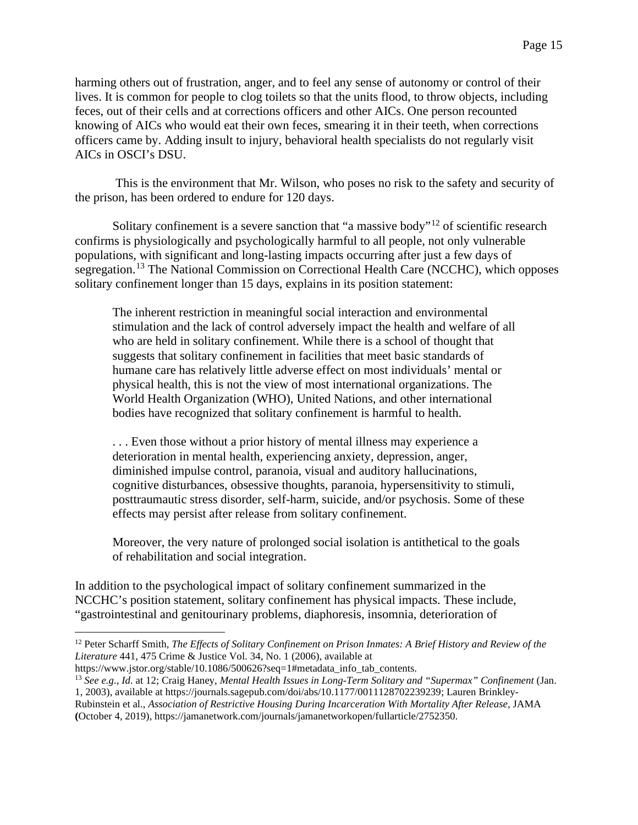harming others out of frustration, anger, and to feel any sense of autonomy or control of their lives. It is common for people to clog toilets so that the units flood, to throw objects, including feces, out of their cells and at corrections officers and other AICs. One person recounted knowing of AICs who would eat their own feces, smearing it in their teeth, when corrections officers came by. Adding insult to injury, behavioral health specialists do not regularly visit AICs in OSCI's DSU.

This is the environment that Mr. Wilson, who poses no risk to the safety and security of the prison, has been ordered to endure for 120 days.

Solitary confinement is a severe sanction that "a massive body"<sup>[12](#page-14-0)</sup> of scientific research confirms is physiologically and psychologically harmful to all people, not only vulnerable populations, with significant and long-lasting impacts occurring after just a few days of segregation.<sup>[13](#page-14-1)</sup> The National Commission on Correctional Health Care (NCCHC), which opposes solitary confinement longer than 15 days, explains in its position statement:

The inherent restriction in meaningful social interaction and environmental stimulation and the lack of control adversely impact the health and welfare of all who are held in solitary confinement. While there is a school of thought that suggests that solitary confinement in facilities that meet basic standards of humane care has relatively little adverse effect on most individuals' mental or physical health, this is not the view of most international organizations. The World Health Organization (WHO), United Nations, and other international bodies have recognized that solitary confinement is harmful to health.

. . . Even those without a prior history of mental illness may experience a deterioration in mental health, experiencing anxiety, depression, anger, diminished impulse control, paranoia, visual and auditory hallucinations, cognitive disturbances, obsessive thoughts, paranoia, hypersensitivity to stimuli, posttraumautic stress disorder, self-harm, suicide, and/or psychosis. Some of these effects may persist after release from solitary confinement.

Moreover, the very nature of prolonged social isolation is antithetical to the goals of rehabilitation and social integration.

In addition to the psychological impact of solitary confinement summarized in the NCCHC's position statement, solitary confinement has physical impacts. These include, "gastrointestinal and genitourinary problems, diaphoresis, insomnia, deterioration of

https://www.jstor.org/stable/10.1086/500626?seq=1#metadata\_info\_tab\_contents.

<span id="page-14-0"></span><sup>12</sup> Peter Scharff Smith, *The Effects of Solitary Confinement on Prison Inmates: A Brief History and Review of the Literature* 441, 475 Crime & Justice Vol. 34, No. 1 (2006), available at

<span id="page-14-1"></span><sup>13</sup> *See e.g.*, *Id.* at 12; Craig Haney, *Mental Health Issues in Long-Term Solitary and "Supermax" Confinement* (Jan. 1, 2003), available at https://journals.sagepub.com/doi/abs/10.1177/0011128702239239; Lauren Brinkley-

Rubinstein et al., *Association of Restrictive Housing During Incarceration With Mortality After Release,* JAMA **(**October 4, 2019), https://jamanetwork.com/journals/jamanetworkopen/fullarticle/2752350.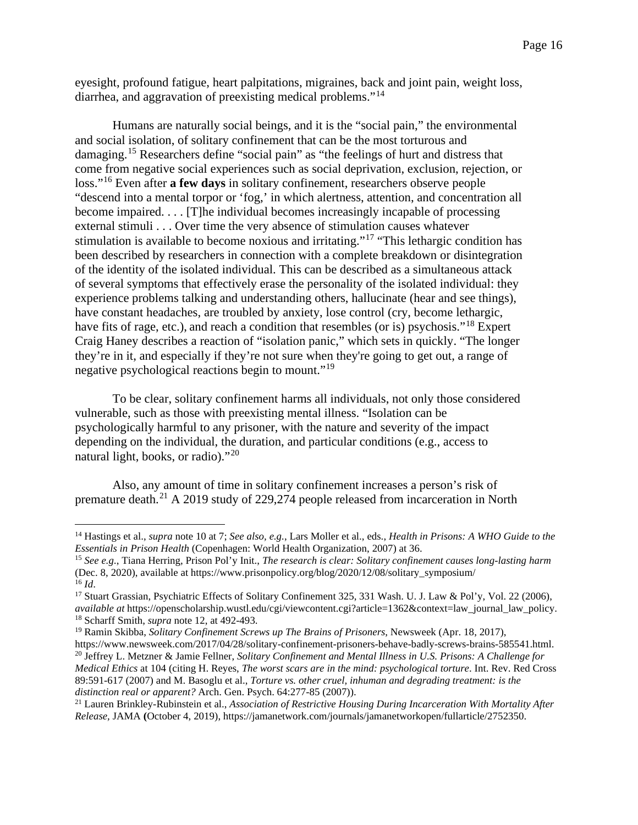eyesight, profound fatigue, heart palpitations, migraines, back and joint pain, weight loss, diarrhea, and aggravation of preexisting medical problems."<sup>[14](#page-15-0)</sup>

Humans are naturally social beings, and it is the "social pain," the environmental and social isolation, of solitary confinement that can be the most torturous and damaging.[15](#page-15-1) Researchers define "social pain" as "the feelings of hurt and distress that come from negative social experiences such as social deprivation, exclusion, rejection, or loss."[16](#page-15-2) Even after **a few days** in solitary confinement, researchers observe people "descend into a mental torpor or 'fog,' in which alertness, attention, and concentration all become impaired. . . . [T]he individual becomes increasingly incapable of processing external stimuli . . . Over time the very absence of stimulation causes whatever stimulation is available to become noxious and irritating."[17](#page-15-3) "This lethargic condition has been described by researchers in connection with a complete breakdown or disintegration of the identity of the isolated individual. This can be described as a simultaneous attack of several symptoms that effectively erase the personality of the isolated individual: they experience problems talking and understanding others, hallucinate (hear and see things), have constant headaches, are troubled by anxiety, lose control (cry, become lethargic, have fits of rage, etc.), and reach a condition that resembles (or is) psychosis."<sup>[18](#page-15-4)</sup> Expert Craig Haney describes a reaction of "isolation panic," which sets in quickly. "The longer they're in it, and especially if they're not sure when they're going to get out, a range of negative psychological reactions begin to mount."[19](#page-15-5)

To be clear, solitary confinement harms all individuals, not only those considered vulnerable, such as those with preexisting mental illness. "Isolation can be psychologically harmful to any prisoner, with the nature and severity of the impact depending on the individual, the duration, and particular conditions (e.g., access to natural light, books, or radio)."[20](#page-15-6)

Also, any amount of time in solitary confinement increases a person's risk of premature death.[21](#page-15-7) A 2019 study of 229,274 people released from incarceration in North

<span id="page-15-0"></span><sup>14</sup> Hastings et al., *supra* note 10 at 7; *See also, e.g.*, Lars Moller et al., eds., *Health in Prisons: A WHO Guide to the Essentials in Prison Health* (Copenhagen: World Health Organization, 2007) at 36.

<span id="page-15-1"></span><sup>15</sup> *See e.g.*, Tiana Herring, Prison Pol'y Init., *The research is clear: Solitary confinement causes long-lasting harm* (Dec. 8, 2020), available at https://www.prisonpolicy.org/blog/2020/12/08/solitary\_symposium/  $^{16}$  *Id.* 

<span id="page-15-3"></span><span id="page-15-2"></span><sup>17</sup> Stuart Grassian, Psychiatric Effects of Solitary Confinement 325, 331 Wash. U. J. Law & Pol'y, Vol. 22 (2006), *available at* https://openscholarship.wustl.edu/cgi/viewcontent.cgi?article=1362&context=law\_journal\_law\_policy. <sup>18</sup> Scharff Smith, *supra* note 12, at 492-493.

<span id="page-15-6"></span><span id="page-15-5"></span><span id="page-15-4"></span><sup>19</sup> Ramin Skibba, *Solitary Confinement Screws up The Brains of Prisoners*, Newsweek (Apr. 18, 2017), https://www.newsweek.com/2017/04/28/solitary-confinement-prisoners-behave-badly-screws-brains-585541.html. <sup>20</sup> Jeffrey L. Metzner & Jamie Fellner, *Solitary Confinement and Mental Illness in U.S. Prisons: A Challenge for Medical Ethics* at 104 (citing H. Reyes, *The worst scars are in the mind: psychological torture*. Int. Rev. Red Cross 89:591-617 (2007) and M. Basoglu et al., *Torture vs. other cruel, inhuman and degrading treatment: is the distinction real or apparent?* Arch. Gen. Psych. 64:277-85 (2007)).

<span id="page-15-7"></span><sup>21</sup> Lauren Brinkley-Rubinstein et al., *Association of Restrictive Housing During Incarceration With Mortality After Release,* JAMA **(**October 4, 2019), https://jamanetwork.com/journals/jamanetworkopen/fullarticle/2752350.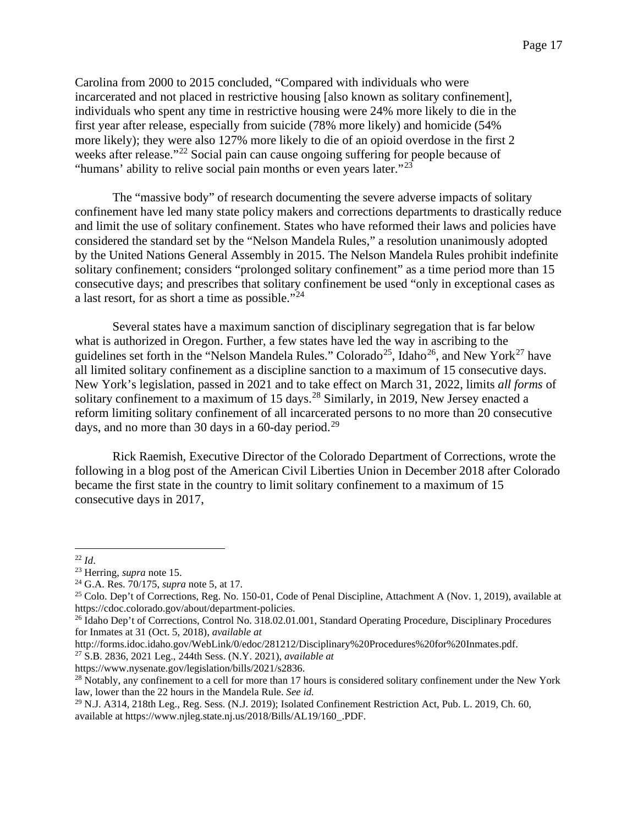Carolina from 2000 to 2015 concluded, "Compared with individuals who were incarcerated and not placed in restrictive housing [also known as solitary confinement], individuals who spent any time in restrictive housing were 24% more likely to die in the first year after release, especially from suicide (78% more likely) and homicide (54% more likely); they were also 127% more likely to die of an opioid overdose in the first 2 weeks after release."<sup>[22](#page-16-0)</sup> Social pain can cause ongoing suffering for people because of "humans' ability to relive social pain months or even years later." $^{23}$  $^{23}$  $^{23}$ 

The "massive body" of research documenting the severe adverse impacts of solitary confinement have led many state policy makers and corrections departments to drastically reduce and limit the use of solitary confinement. States who have reformed their laws and policies have considered the standard set by the "Nelson Mandela Rules," a resolution unanimously adopted by the United Nations General Assembly in 2015. The Nelson Mandela Rules prohibit indefinite solitary confinement; considers "prolonged solitary confinement" as a time period more than 15 consecutive days; and prescribes that solitary confinement be used "only in exceptional cases as a last resort, for as short a time as possible."[24](#page-16-2)

Several states have a maximum sanction of disciplinary segregation that is far below what is authorized in Oregon. Further, a few states have led the way in ascribing to the guidelines set forth in the "Nelson Mandela Rules." Colorado<sup>[25](#page-16-3)</sup>, Idaho<sup>[26](#page-16-4)</sup>, and New York<sup>[27](#page-16-5)</sup> have all limited solitary confinement as a discipline sanction to a maximum of 15 consecutive days. New York's legislation, passed in 2021 and to take effect on March 31, 2022, limits *all forms* of solitary confinement to a maximum of 15 days.<sup>[28](#page-16-6)</sup> Similarly, in 2019, New Jersey enacted a reform limiting solitary confinement of all incarcerated persons to no more than 20 consecutive days, and no more than 30 days in a 60-day period.<sup>[29](#page-16-7)</sup>

Rick Raemish, Executive Director of the Colorado Department of Corrections, wrote the following in a blog post of the American Civil Liberties Union in December 2018 after Colorado became the first state in the country to limit solitary confinement to a maximum of 15 consecutive days in 2017,

<span id="page-16-5"></span><sup>27</sup> S.B. 2836, 2021 Leg., 244th Sess. (N.Y. 2021), *available at*

<span id="page-16-0"></span><sup>22</sup> *Id*.

<span id="page-16-1"></span><sup>23</sup> Herring, *supra* note 15.

<span id="page-16-2"></span><sup>24</sup> G.A. Res. 70/175, *supra* note 5, at 17.

<span id="page-16-3"></span><sup>&</sup>lt;sup>25</sup> Colo. Dep't of Corrections, Reg. No. 150-01, Code of Penal Discipline, Attachment A (Nov. 1, 2019), available at https://cdoc.colorado.gov/about/department-policies.

<span id="page-16-4"></span><sup>&</sup>lt;sup>26</sup> Idaho Dep't of Corrections, Control No. 318.02.01.001, Standard Operating Procedure, Disciplinary Procedures for Inmates at 31 (Oct. 5, 2018), *available at* 

http://forms.idoc.idaho.gov/WebLink/0/edoc/281212/Disciplinary%20Procedures%20for%20Inmates.pdf.

<span id="page-16-6"></span>https://www.nysenate.gov/legislation/bills/2021/s2836.<br><sup>28</sup> Notably, any confinement to a cell for more than 17 hours is considered solitary confinement under the New York law, lower than the 22 hours in the Mandela Rule. *See id.*

<span id="page-16-7"></span><sup>&</sup>lt;sup>29</sup> N.J. A314, 218th Leg., Reg. Sess. (N.J. 2019); Isolated Confinement Restriction Act, Pub. L. 2019, Ch. 60, available at https://www.njleg.state.nj.us/2018/Bills/AL19/160\_.PDF.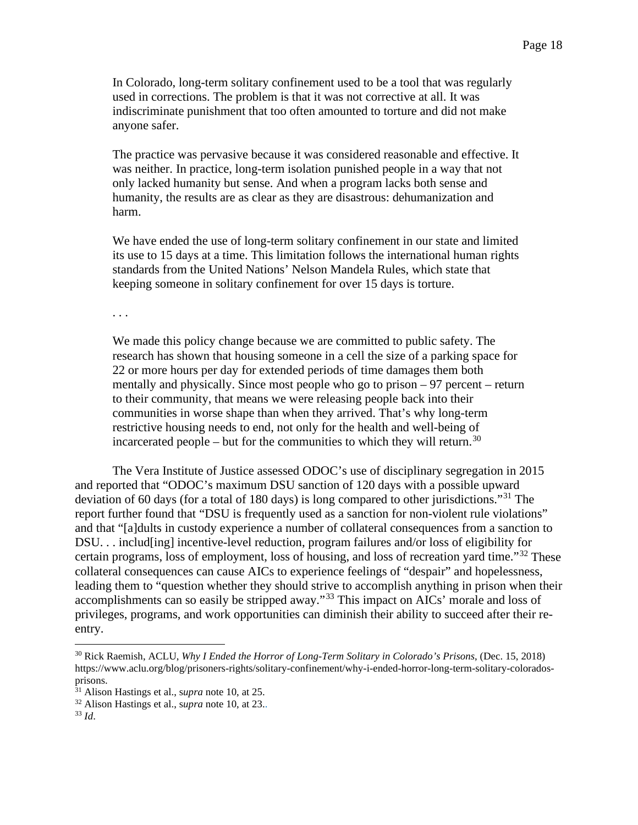In Colorado, long-term solitary confinement used to be a tool that was regularly used in corrections. The problem is that it was not corrective at all. It was indiscriminate punishment that too often amounted to torture and did not make anyone safer.

The practice was pervasive because it was considered reasonable and effective. It was neither. In practice, long-term isolation punished people in a way that not only lacked humanity but sense. And when a program lacks both sense and humanity, the results are as clear as they are disastrous: dehumanization and harm.

We have ended the use of long-term solitary confinement in our state and limited its use to 15 days at a time. This limitation follows the international human rights standards from the United Nations' Nelson Mandela Rules, which state that keeping someone in solitary confinement for over 15 days is torture.

. . .

We made this policy change because we are committed to public safety. The research has shown that housing someone in a cell the size of a parking space for 22 or more hours per day for extended periods of time damages them both mentally and physically. Since most people who go to prison – 97 percent – return to their community, that means we were releasing people back into their communities in worse shape than when they arrived. That's why long-term restrictive housing needs to end, not only for the health and well-being of incarcerated people – but for the communities to which they will return.<sup>[30](#page-17-0)</sup>

The Vera Institute of Justice assessed ODOC's use of disciplinary segregation in 2015 and reported that "ODOC's maximum DSU sanction of 120 days with a possible upward deviation of 60 days (for a total of 180 days) is long compared to other jurisdictions."[31](#page-17-1) The report further found that "DSU is frequently used as a sanction for non-violent rule violations" and that "[a]dults in custody experience a number of collateral consequences from a sanction to DSU. . . includ[ing] incentive-level reduction, program failures and/or loss of eligibility for certain programs, loss of employment, loss of housing, and loss of recreation yard time."[32](#page-17-2) These collateral consequences can cause AICs to experience feelings of "despair" and hopelessness, leading them to "question whether they should strive to accomplish anything in prison when their accomplishments can so easily be stripped away."[33](#page-17-3) This impact on AICs' morale and loss of privileges, programs, and work opportunities can diminish their ability to succeed after their reentry.

<span id="page-17-0"></span><sup>30</sup> Rick Raemish, ACLU, *Why I Ended the Horror of Long-Term Solitary in Colorado's Prisons*, (Dec. 15, 2018) https://www.aclu.org/blog/prisoners-rights/solitary-confinement/why-i-ended-horror-long-term-solitary-coloradosprisons.

<span id="page-17-1"></span><sup>31</sup> Alison Hastings et al., s*upra* note 10, at 25.

<span id="page-17-2"></span><sup>32</sup> Alison Hastings et al., s*upra* note 10, at 23..

<span id="page-17-3"></span><sup>33</sup> *Id*.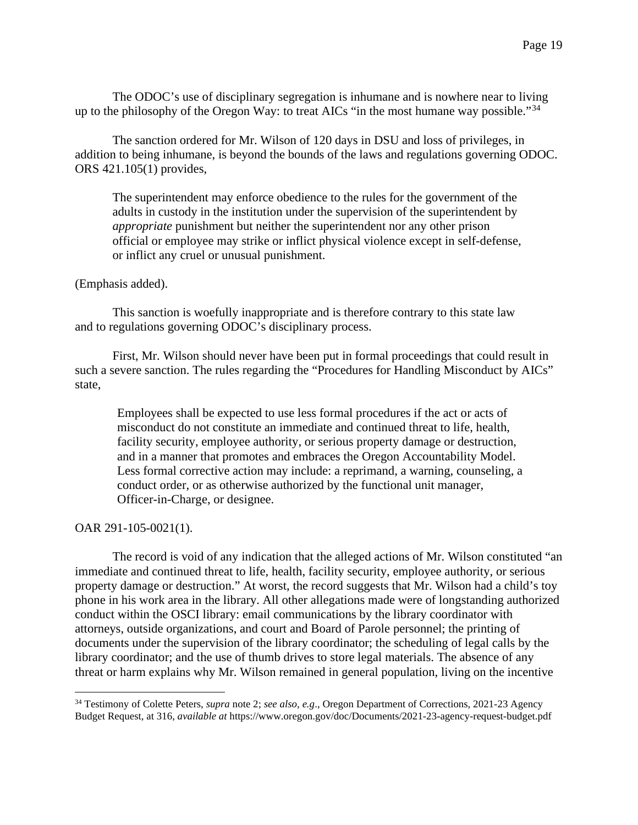The ODOC's use of disciplinary segregation is inhumane and is nowhere near to living up to the philosophy of the Oregon Way: to treat AICs "in the most humane way possible."<sup>[34](#page-18-0)</sup>

The sanction ordered for Mr. Wilson of 120 days in DSU and loss of privileges, in addition to being inhumane, is beyond the bounds of the laws and regulations governing ODOC. ORS 421.105(1) provides,

The superintendent may enforce obedience to the rules for the government of the adults in custody in the institution under the supervision of the superintendent by *appropriate* punishment but neither the superintendent nor any other prison official or employee may strike or inflict physical violence except in self-defense, or inflict any cruel or unusual punishment.

#### (Emphasis added).

This sanction is woefully inappropriate and is therefore contrary to this state law and to regulations governing ODOC's disciplinary process.

First, Mr. Wilson should never have been put in formal proceedings that could result in such a severe sanction. The rules regarding the "Procedures for Handling Misconduct by AICs" state,

Employees shall be expected to use less formal procedures if the act or acts of misconduct do not constitute an immediate and continued threat to life, health, facility security, employee authority, or serious property damage or destruction, and in a manner that promotes and embraces the Oregon Accountability Model. Less formal corrective action may include: a reprimand, a warning, counseling, a conduct order, or as otherwise authorized by the functional unit manager, Officer-in-Charge, or designee.

#### OAR 291-105-0021(1).

The record is void of any indication that the alleged actions of Mr. Wilson constituted "an immediate and continued threat to life, health, facility security, employee authority, or serious property damage or destruction." At worst, the record suggests that Mr. Wilson had a child's toy phone in his work area in the library. All other allegations made were of longstanding authorized conduct within the OSCI library: email communications by the library coordinator with attorneys, outside organizations, and court and Board of Parole personnel; the printing of documents under the supervision of the library coordinator; the scheduling of legal calls by the library coordinator; and the use of thumb drives to store legal materials. The absence of any threat or harm explains why Mr. Wilson remained in general population, living on the incentive

<span id="page-18-0"></span><sup>34</sup> Testimony of Colette Peters, *supra* note 2; *see also, e.g*., Oregon Department of Corrections, 2021-23 Agency Budget Request, at 316, *available at* https://www.oregon.gov/doc/Documents/2021-23-agency-request-budget.pdf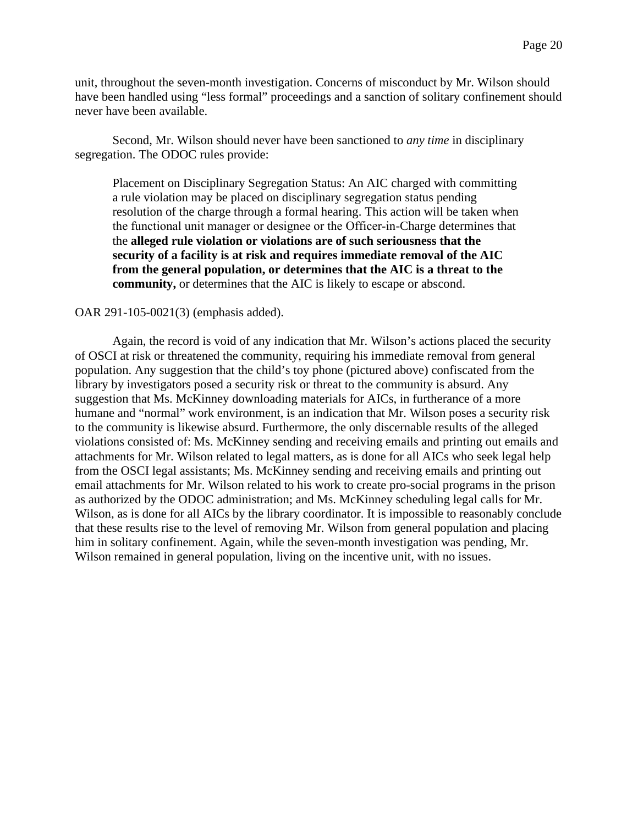unit, throughout the seven-month investigation. Concerns of misconduct by Mr. Wilson should have been handled using "less formal" proceedings and a sanction of solitary confinement should never have been available.

Second, Mr. Wilson should never have been sanctioned to *any time* in disciplinary segregation. The ODOC rules provide:

Placement on Disciplinary Segregation Status: An AIC charged with committing a rule violation may be placed on disciplinary segregation status pending resolution of the charge through a formal hearing. This action will be taken when the functional unit manager or designee or the Officer‑in-Charge determines that the **alleged rule violation or violations are of such seriousness that the security of a facility is at risk and requires immediate removal of the AIC from the general population, or determines that the AIC is a threat to the community,** or determines that the AIC is likely to escape or abscond.

#### OAR 291-105-0021(3) (emphasis added).

Again, the record is void of any indication that Mr. Wilson's actions placed the security of OSCI at risk or threatened the community, requiring his immediate removal from general population. Any suggestion that the child's toy phone (pictured above) confiscated from the library by investigators posed a security risk or threat to the community is absurd. Any suggestion that Ms. McKinney downloading materials for AICs, in furtherance of a more humane and "normal" work environment, is an indication that Mr. Wilson poses a security risk to the community is likewise absurd. Furthermore, the only discernable results of the alleged violations consisted of: Ms. McKinney sending and receiving emails and printing out emails and attachments for Mr. Wilson related to legal matters, as is done for all AICs who seek legal help from the OSCI legal assistants; Ms. McKinney sending and receiving emails and printing out email attachments for Mr. Wilson related to his work to create pro-social programs in the prison as authorized by the ODOC administration; and Ms. McKinney scheduling legal calls for Mr. Wilson, as is done for all AICs by the library coordinator. It is impossible to reasonably conclude that these results rise to the level of removing Mr. Wilson from general population and placing him in solitary confinement. Again, while the seven-month investigation was pending, Mr. Wilson remained in general population, living on the incentive unit, with no issues.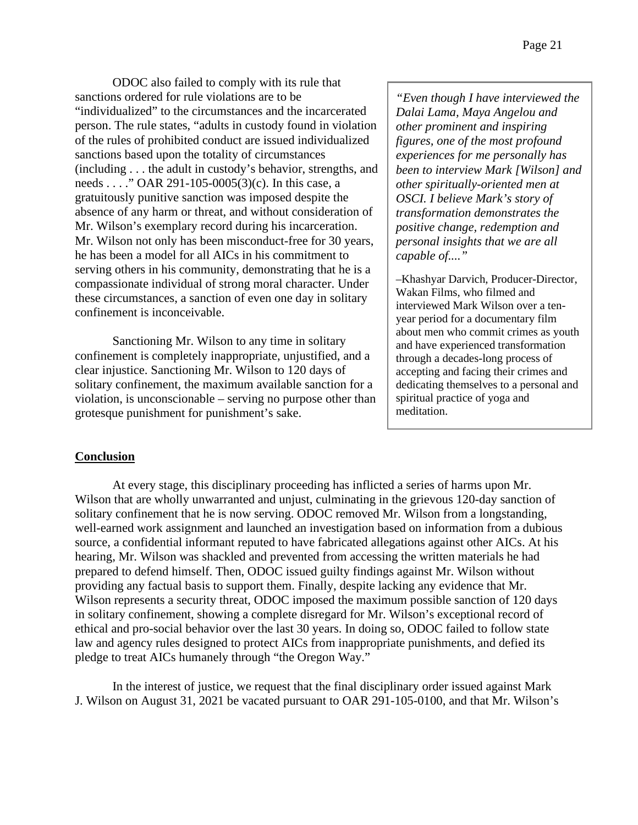ODOC also failed to comply with its rule that sanctions ordered for rule violations are to be "individualized" to the circumstances and the incarcerated person. The rule states, "adults in custody found in violation of the rules of prohibited conduct are issued individualized sanctions based upon the totality of circumstances (including . . . the adult in custody's behavior, strengths, and needs . . . ." OAR 291-105-0005(3)(c). In this case, a gratuitously punitive sanction was imposed despite the absence of any harm or threat, and without consideration of Mr. Wilson's exemplary record during his incarceration. Mr. Wilson not only has been misconduct-free for 30 years, he has been a model for all AICs in his commitment to serving others in his community, demonstrating that he is a compassionate individual of strong moral character. Under these circumstances, a sanction of even one day in solitary confinement is inconceivable.

Sanctioning Mr. Wilson to any time in solitary confinement is completely inappropriate, unjustified, and a clear injustice. Sanctioning Mr. Wilson to 120 days of solitary confinement, the maximum available sanction for a violation, is unconscionable – serving no purpose other than grotesque punishment for punishment's sake.

*"Even though I have interviewed the Dalai Lama, Maya Angelou and other prominent and inspiring figures, one of the most profound experiences for me personally has been to interview Mark [Wilson] and other spiritually-oriented men at OSCI. I believe Mark's story of transformation demonstrates the positive change, redemption and personal insights that we are all capable of...."*

–Khashyar Darvich, Producer-Director, Wakan Films, who filmed and interviewed Mark Wilson over a tenyear period for a documentary film about men who commit crimes as youth and have experienced transformation through a decades-long process of accepting and facing their crimes and dedicating themselves to a personal and spiritual practice of yoga and meditation.

## **Conclusion**

At every stage, this disciplinary proceeding has inflicted a series of harms upon Mr. Wilson that are wholly unwarranted and unjust, culminating in the grievous 120-day sanction of solitary confinement that he is now serving. ODOC removed Mr. Wilson from a longstanding, well-earned work assignment and launched an investigation based on information from a dubious source, a confidential informant reputed to have fabricated allegations against other AICs. At his hearing, Mr. Wilson was shackled and prevented from accessing the written materials he had prepared to defend himself. Then, ODOC issued guilty findings against Mr. Wilson without providing any factual basis to support them. Finally, despite lacking any evidence that Mr. Wilson represents a security threat, ODOC imposed the maximum possible sanction of 120 days in solitary confinement, showing a complete disregard for Mr. Wilson's exceptional record of ethical and pro-social behavior over the last 30 years. In doing so, ODOC failed to follow state law and agency rules designed to protect AICs from inappropriate punishments, and defied its pledge to treat AICs humanely through "the Oregon Way."

In the interest of justice, we request that the final disciplinary order issued against Mark J. Wilson on August 31, 2021 be vacated pursuant to OAR 291-105-0100, and that Mr. Wilson's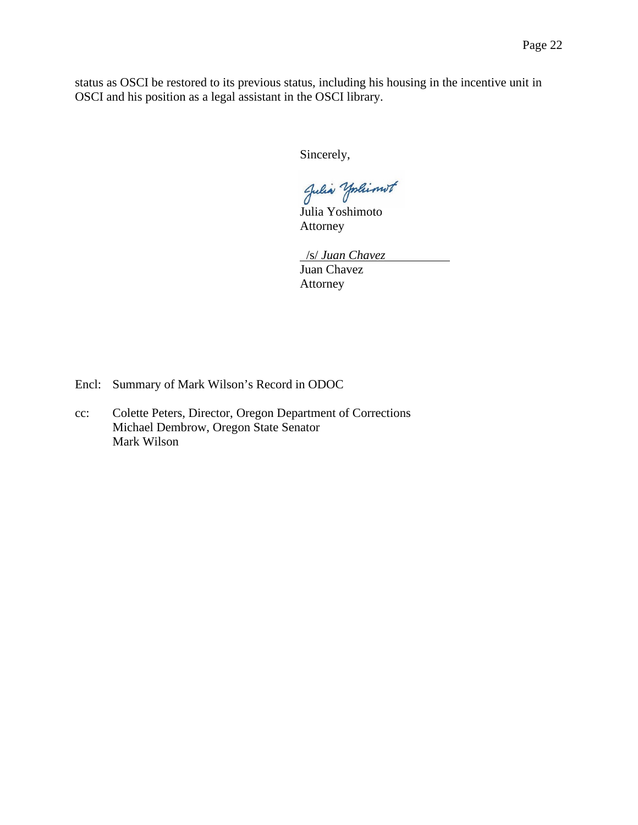status as OSCI be restored to its previous status, including his housing in the incentive unit in OSCI and his position as a legal assistant in the OSCI library.

Sincerely,

Julia Yoshimot

Julia Yoshimoto Attorney

 /s/ *Juan Chavez* Juan Chavez Attorney

Encl: Summary of Mark Wilson's Record in ODOC

cc: Colette Peters, Director, Oregon Department of Corrections Michael Dembrow, Oregon State Senator Mark Wilson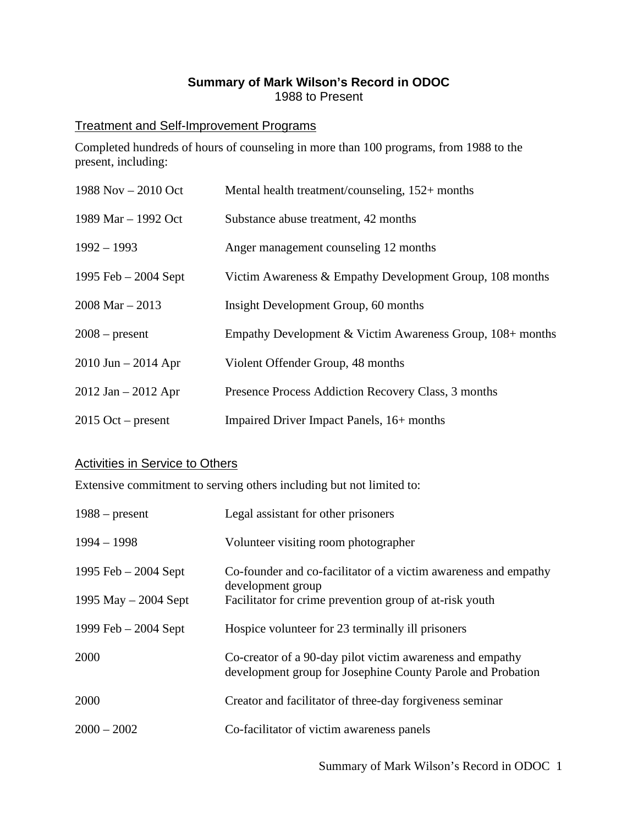# **Summary of Mark Wilson's Record in ODOC** 1988 to Present

## Treatment and Self-Improvement Programs

Completed hundreds of hours of counseling in more than 100 programs, from 1988 to the present, including:

| 1988 Nov $- 2010$ Oct   | Mental health treatment/counseling, 152+ months           |
|-------------------------|-----------------------------------------------------------|
| 1989 Mar - 1992 Oct     | Substance abuse treatment, 42 months                      |
| $1992 - 1993$           | Anger management counseling 12 months                     |
| 1995 Feb $-2004$ Sept   | Victim Awareness & Empathy Development Group, 108 months  |
| $2008$ Mar $- 2013$     | Insight Development Group, 60 months                      |
| $2008$ – present        | Empathy Development & Victim Awareness Group, 108+ months |
| $2010$ Jun $- 2014$ Apr | Violent Offender Group, 48 months                         |
| $2012$ Jan $- 2012$ Apr | Presence Process Addiction Recovery Class, 3 months       |
| $2015$ Oct – present    | Impaired Driver Impact Panels, 16+ months                 |

## Activities in Service to Others

Extensive commitment to serving others including but not limited to:

| $1988 - present$       | Legal assistant for other prisoners                                                                                      |
|------------------------|--------------------------------------------------------------------------------------------------------------------------|
| $1994 - 1998$          | Volunteer visiting room photographer                                                                                     |
| 1995 Feb $-2004$ Sept  | Co-founder and co-facilitator of a victim awareness and empathy<br>development group                                     |
| 1995 May $-$ 2004 Sept | Facilitator for crime prevention group of at-risk youth                                                                  |
| 1999 Feb $-2004$ Sept  | Hospice volunteer for 23 terminally ill prisoners                                                                        |
| 2000                   | Co-creator of a 90-day pilot victim awareness and empathy<br>development group for Josephine County Parole and Probation |
| 2000                   | Creator and facilitator of three-day for giveness seminar                                                                |
| $2000 - 2002$          | Co-facilitator of victim awareness panels                                                                                |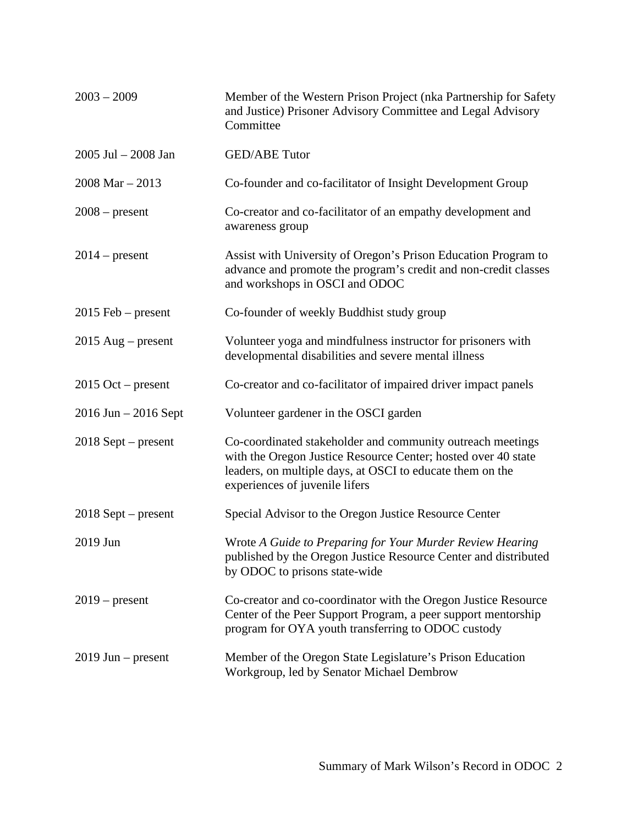| $2003 - 2009$            | Member of the Western Prison Project (nka Partnership for Safety<br>and Justice) Prisoner Advisory Committee and Legal Advisory<br>Committee                                                                               |
|--------------------------|----------------------------------------------------------------------------------------------------------------------------------------------------------------------------------------------------------------------------|
| $2005$ Jul $- 2008$ Jan  | <b>GED/ABE Tutor</b>                                                                                                                                                                                                       |
| $2008$ Mar $- 2013$      | Co-founder and co-facilitator of Insight Development Group                                                                                                                                                                 |
| $2008$ – present         | Co-creator and co-facilitator of an empathy development and<br>awareness group                                                                                                                                             |
| $2014$ – present         | Assist with University of Oregon's Prison Education Program to<br>advance and promote the program's credit and non-credit classes<br>and workshops in OSCI and ODOC                                                        |
| $2015$ Feb – present     | Co-founder of weekly Buddhist study group                                                                                                                                                                                  |
| $2015$ Aug – present     | Volunteer yoga and mindfulness instructor for prisoners with<br>developmental disabilities and severe mental illness                                                                                                       |
| $2015$ Oct – present     | Co-creator and co-facilitator of impaired driver impact panels                                                                                                                                                             |
| $2016$ Jun $- 2016$ Sept | Volunteer gardener in the OSCI garden                                                                                                                                                                                      |
| $2018$ Sept – present    | Co-coordinated stakeholder and community outreach meetings<br>with the Oregon Justice Resource Center; hosted over 40 state<br>leaders, on multiple days, at OSCI to educate them on the<br>experiences of juvenile lifers |
| $2018$ Sept – present    | Special Advisor to the Oregon Justice Resource Center                                                                                                                                                                      |
| 2019 Jun                 | Wrote A Guide to Preparing for Your Murder Review Hearing<br>published by the Oregon Justice Resource Center and distributed<br>by ODOC to prisons state-wide                                                              |
| $2019$ – present         | Co-creator and co-coordinator with the Oregon Justice Resource<br>Center of the Peer Support Program, a peer support mentorship<br>program for OYA youth transferring to ODOC custody                                      |
| $2019$ Jun – present     | Member of the Oregon State Legislature's Prison Education<br>Workgroup, led by Senator Michael Dembrow                                                                                                                     |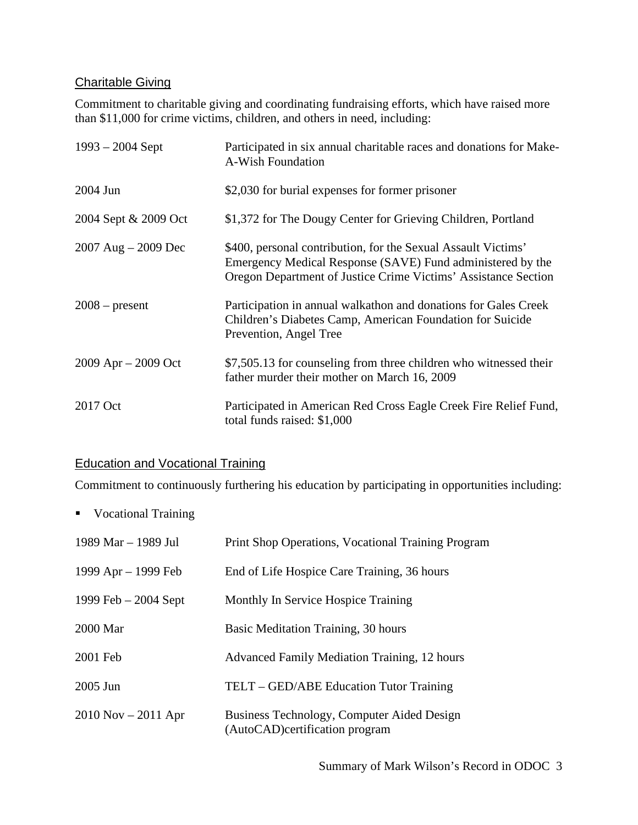# Charitable Giving

Commitment to charitable giving and coordinating fundraising efforts, which have raised more than \$11,000 for crime victims, children, and others in need, including:

| $1993 - 2004$ Sept      | Participated in six annual charitable races and donations for Make-<br>A-Wish Foundation                                                                                                      |
|-------------------------|-----------------------------------------------------------------------------------------------------------------------------------------------------------------------------------------------|
| 2004 Jun                | \$2,030 for burial expenses for former prisoner                                                                                                                                               |
| 2004 Sept & 2009 Oct    | \$1,372 for The Dougy Center for Grieving Children, Portland                                                                                                                                  |
| 2007 Aug $-$ 2009 Dec   | \$400, personal contribution, for the Sexual Assault Victims'<br>Emergency Medical Response (SAVE) Fund administered by the<br>Oregon Department of Justice Crime Victims' Assistance Section |
| $2008$ – present        | Participation in annual walkathon and donations for Gales Creek<br>Children's Diabetes Camp, American Foundation for Suicide<br>Prevention, Angel Tree                                        |
| $2009$ Apr $- 2009$ Oct | \$7,505.13 for counseling from three children who witnessed their<br>father murder their mother on March 16, 2009                                                                             |
| 2017 Oct                | Participated in American Red Cross Eagle Creek Fire Relief Fund,<br>total funds raised: \$1,000                                                                                               |

# Education and Vocational Training

Commitment to continuously furthering his education by participating in opportunities including:

■ Vocational Training

| 1989 Mar – 1989 Jul     | Print Shop Operations, Vocational Training Program                            |
|-------------------------|-------------------------------------------------------------------------------|
| 1999 $Apr - 1999$ Feb   | End of Life Hospice Care Training, 36 hours                                   |
| 1999 Feb $-2004$ Sept   | Monthly In Service Hospice Training                                           |
| 2000 Mar                | Basic Meditation Training, 30 hours                                           |
| 2001 Feb                | <b>Advanced Family Mediation Training, 12 hours</b>                           |
| 2005 Jun                | TELT – GED/ABE Education Tutor Training                                       |
| $2010$ Nov $- 2011$ Apr | Business Technology, Computer Aided Design<br>(AutoCAD) certification program |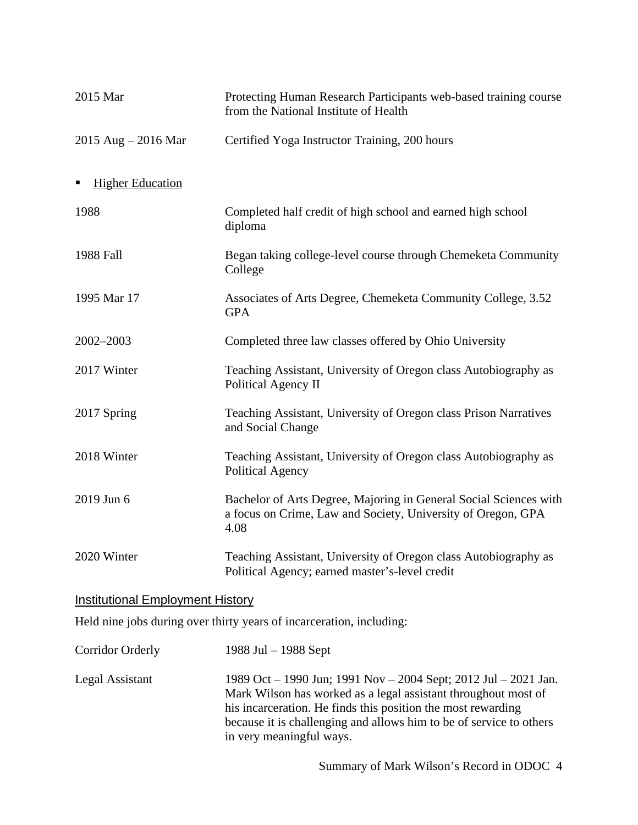| 2015 Mar                                | Protecting Human Research Participants web-based training course<br>from the National Institute of Health                                 |
|-----------------------------------------|-------------------------------------------------------------------------------------------------------------------------------------------|
| 2015 Aug $-$ 2016 Mar                   | Certified Yoga Instructor Training, 200 hours                                                                                             |
| <b>Higher Education</b>                 |                                                                                                                                           |
| 1988                                    | Completed half credit of high school and earned high school<br>diploma                                                                    |
| 1988 Fall                               | Began taking college-level course through Chemeketa Community<br>College                                                                  |
| 1995 Mar 17                             | Associates of Arts Degree, Chemeketa Community College, 3.52<br><b>GPA</b>                                                                |
| 2002-2003                               | Completed three law classes offered by Ohio University                                                                                    |
| 2017 Winter                             | Teaching Assistant, University of Oregon class Autobiography as<br>Political Agency II                                                    |
| 2017 Spring                             | Teaching Assistant, University of Oregon class Prison Narratives<br>and Social Change                                                     |
| 2018 Winter                             | Teaching Assistant, University of Oregon class Autobiography as<br>Political Agency                                                       |
| 2019 Jun 6                              | Bachelor of Arts Degree, Majoring in General Social Sciences with<br>a focus on Crime, Law and Society, University of Oregon, GPA<br>4.08 |
| 2020 Winter                             | Teaching Assistant, University of Oregon class Autobiography as<br>Political Agency; earned master's-level credit                         |
| <b>Institutional Employment History</b> |                                                                                                                                           |
|                                         | Held nine jobs during over thirty years of incarceration, including:                                                                      |
| <b>Corridor Orderly</b>                 | 1988 Jul $-$ 1988 Sept                                                                                                                    |
| Legal Assistant                         | 1989 Oct – 1990 Jun; 1991 Nov – 2004 Sept; 2012 Jul – 2021 Jan.                                                                           |

Mark Wilson has worked as a legal assistant throughout most of his incarceration. He finds this position the most rewarding because it is challenging and allows him to be of service to others in very meaningful ways.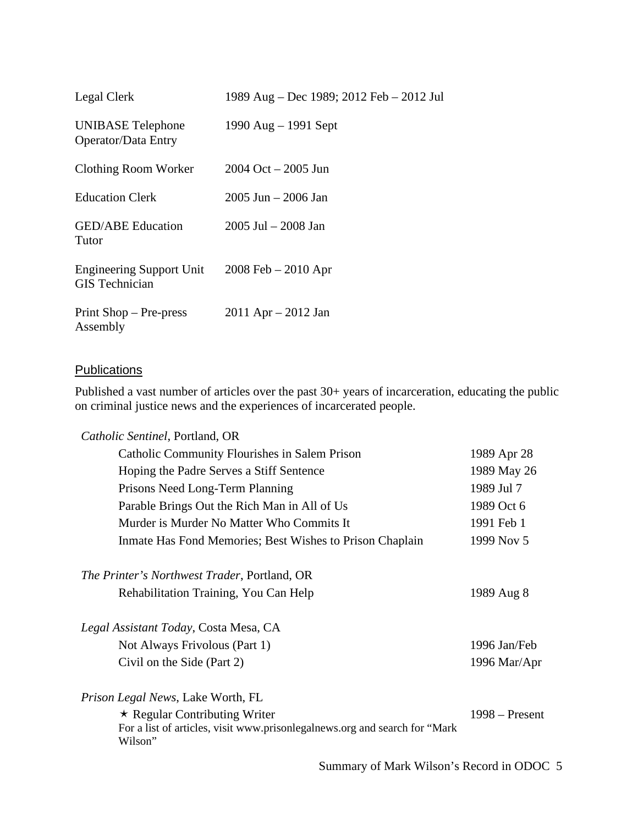| Legal Clerk                                              | 1989 Aug – Dec 1989; 2012 Feb – 2012 Jul |
|----------------------------------------------------------|------------------------------------------|
| UNIBASE Telephone<br>Operator/Data Entry                 | 1990 Aug $-$ 1991 Sept                   |
| Clothing Room Worker                                     | 2004 Oct – 2005 Jun                      |
| <b>Education Clerk</b>                                   | $2005$ Jun $- 2006$ Jan                  |
| <b>GED/ABE</b> Education<br>Tutor                        | 2005 Jul – 2008 Jan                      |
| <b>Engineering Support Unit</b><br><b>GIS</b> Technician | $2008$ Feb $- 2010$ Apr                  |
| Print $Shop - Pre-press$<br>Assembly                     | $2011$ Apr $- 2012$ Jan                  |

# **Publications**

Published a vast number of articles over the past 30+ years of incarceration, educating the public on criminal justice news and the experiences of incarcerated people.

| Catholic Sentinel, Portland, OR                                                                                               |                  |
|-------------------------------------------------------------------------------------------------------------------------------|------------------|
| Catholic Community Flourishes in Salem Prison                                                                                 | 1989 Apr 28      |
| Hoping the Padre Serves a Stiff Sentence                                                                                      | 1989 May 26      |
| Prisons Need Long-Term Planning                                                                                               | 1989 Jul 7       |
| Parable Brings Out the Rich Man in All of Us                                                                                  | 1989 Oct 6       |
| Murder is Murder No Matter Who Commits It                                                                                     | 1991 Feb 1       |
| Inmate Has Fond Memories; Best Wishes to Prison Chaplain                                                                      | 1999 Nov 5       |
| <i>The Printer's Northwest Trader, Portland, OR</i>                                                                           |                  |
| Rehabilitation Training, You Can Help                                                                                         | 1989 Aug 8       |
| Legal Assistant Today, Costa Mesa, CA                                                                                         |                  |
| Not Always Frivolous (Part 1)                                                                                                 | 1996 Jan/Feb     |
| Civil on the Side (Part 2)                                                                                                    | 1996 Mar/Apr     |
| <i>Prison Legal News</i> , Lake Worth, FL                                                                                     |                  |
| $\star$ Regular Contributing Writer<br>For a list of articles, visit www.prisonlegalnews.org and search for "Mark"<br>Wilson" | $1998 -$ Present |